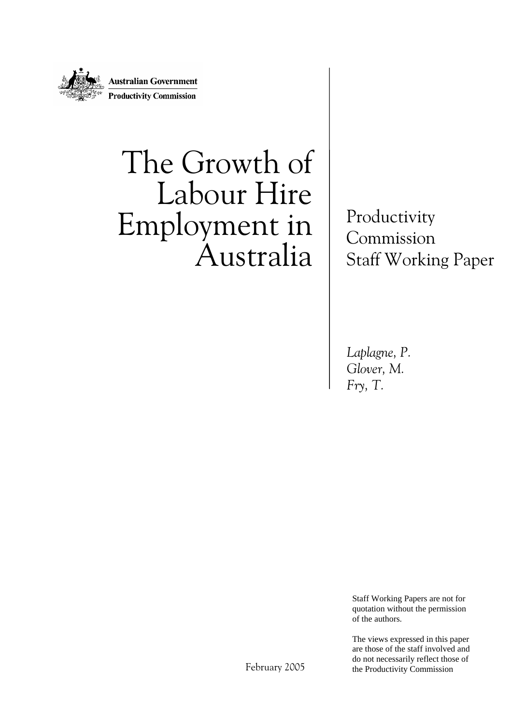

# The Growth of Labour Hire Employment in Australia

Productivity Commission Staff Working Paper

*Laplagne, P. Glover, M. Fry, T.*

Staff Working Papers are not for quotation without the permission of the authors.

The views expressed in this paper are those of the staff involved and do not necessarily reflect those of the Productivity Commission

February 2005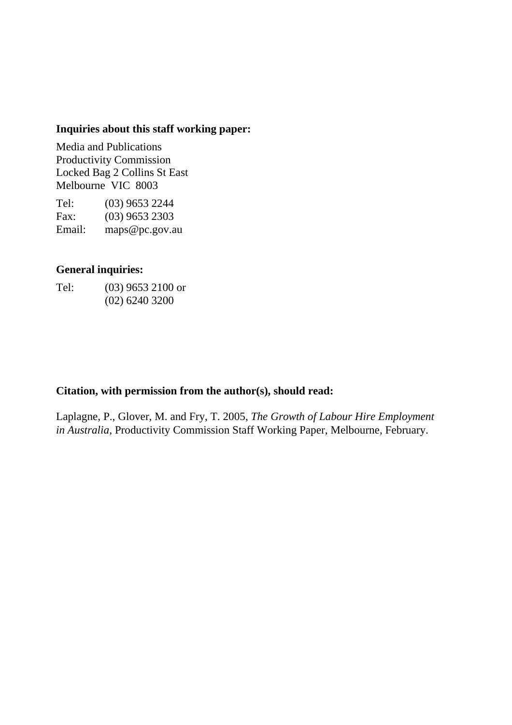#### **Inquiries about this staff working paper:**

Media and Publications Productivity Commission Locked Bag 2 Collins St East Melbourne VIC 8003

Tel: (03) 9653 2244 Fax: (03) 9653 2303 Email: maps@pc.gov.au

#### **General inquiries:**

Tel: (03) 9653 2100 or (02) 6240 3200

#### **Citation, with permission from the author(s), should read:**

Laplagne, P., Glover, M. and Fry, T. 2005, *The Growth of Labour Hire Employment in Australia*, Productivity Commission Staff Working Paper, Melbourne, February.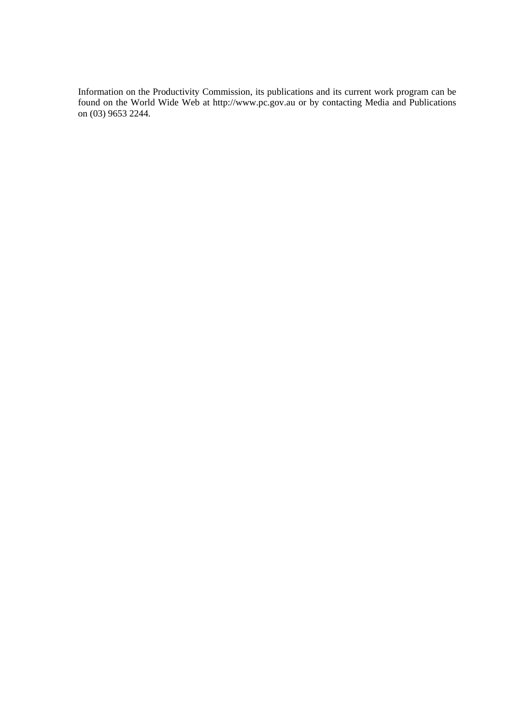Information on the Productivity Commission, its publications and its current work program can be found on the World Wide Web at http://www.pc.gov.au or by contacting Media and Publications on (03) 9653 2244.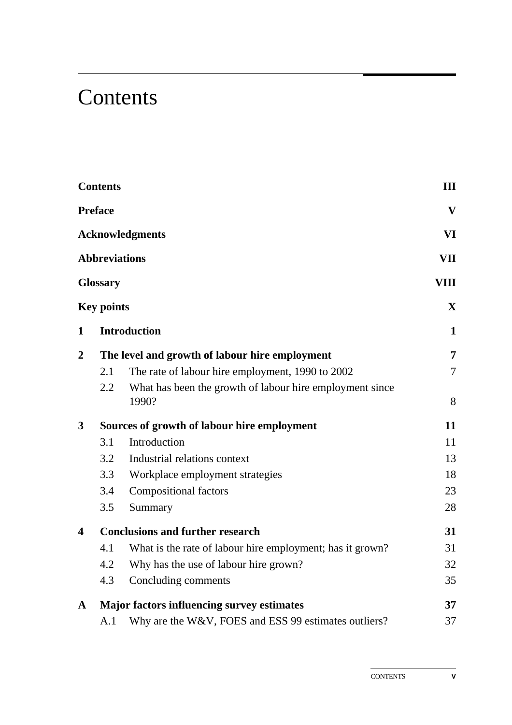## **Contents**

|                         | <b>Contents</b>      |                                                                   | III                      |
|-------------------------|----------------------|-------------------------------------------------------------------|--------------------------|
|                         | <b>Preface</b>       |                                                                   | $\mathbf{V}$             |
|                         |                      | <b>Acknowledgments</b>                                            | VI                       |
|                         | <b>Abbreviations</b> |                                                                   | VII                      |
|                         | <b>Glossary</b>      |                                                                   | VIII                     |
|                         | <b>Key points</b>    |                                                                   | $\mathbf{X}$             |
| $\mathbf{1}$            |                      | <b>Introduction</b>                                               | 1                        |
| $\overline{2}$          |                      | The level and growth of labour hire employment                    | 7                        |
|                         | 2.1                  | The rate of labour hire employment, 1990 to 2002                  | $\overline{\mathcal{L}}$ |
|                         | 2.2                  | What has been the growth of labour hire employment since<br>1990? | 8                        |
| 3                       |                      | Sources of growth of labour hire employment                       | 11                       |
|                         | 3.1                  | Introduction                                                      | 11                       |
|                         | 3.2                  | Industrial relations context                                      | 13                       |
|                         | 3.3                  | Workplace employment strategies                                   | 18                       |
|                         | 3.4                  | <b>Compositional factors</b>                                      | 23                       |
|                         | 3.5                  | Summary                                                           | 28                       |
| $\overline{\mathbf{4}}$ |                      | <b>Conclusions and further research</b>                           | 31                       |
|                         | 4.1                  | What is the rate of labour hire employment; has it grown?         | 31                       |
|                         | 4.2                  | Why has the use of labour hire grown?                             | 32                       |
|                         | 4.3                  | Concluding comments                                               | 35                       |
| $\mathbf{A}$            |                      | <b>Major factors influencing survey estimates</b>                 | 37                       |
|                         | A.1                  | Why are the W&V, FOES and ESS 99 estimates outliers?              | 37                       |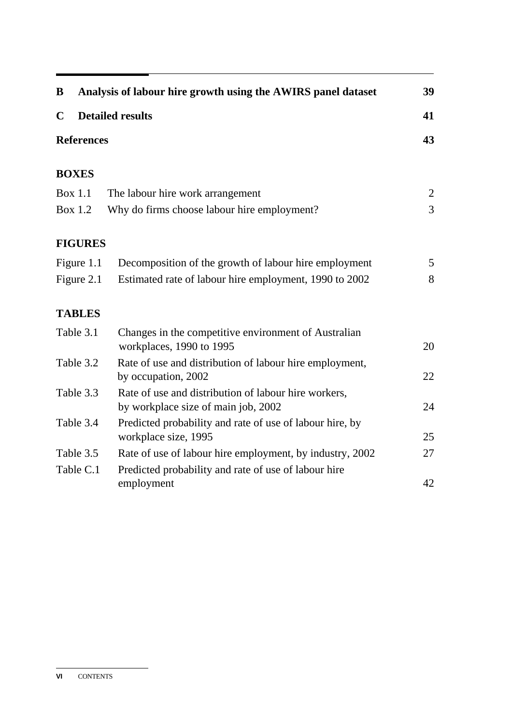| B                 | Analysis of labour hire growth using the AWIRS panel dataset                                | 39             |
|-------------------|---------------------------------------------------------------------------------------------|----------------|
| $\mathbf C$       | <b>Detailed results</b>                                                                     | 41             |
| <b>References</b> |                                                                                             | 43             |
| <b>BOXES</b>      |                                                                                             |                |
| <b>Box 1.1</b>    | The labour hire work arrangement                                                            | 2              |
| <b>Box 1.2</b>    | Why do firms choose labour hire employment?                                                 | $\overline{3}$ |
| <b>FIGURES</b>    |                                                                                             |                |
| Figure 1.1        | Decomposition of the growth of labour hire employment                                       | 5 <sup>5</sup> |
| Figure 2.1        | Estimated rate of labour hire employment, 1990 to 2002                                      | 8              |
| <b>TABLES</b>     |                                                                                             |                |
| Table 3.1         | Changes in the competitive environment of Australian<br>workplaces, 1990 to 1995            | 20             |
| Table 3.2         | Rate of use and distribution of labour hire employment,<br>by occupation, 2002              | 22             |
| Table 3.3         | Rate of use and distribution of labour hire workers,<br>by workplace size of main job, 2002 | 24             |
| Table 3.4         | Predicted probability and rate of use of labour hire, by<br>workplace size, 1995            | 25             |
| Table 3.5         | Rate of use of labour hire employment, by industry, 2002                                    | 27             |
| Table C.1         | Predicted probability and rate of use of labour hire<br>employment                          | 42             |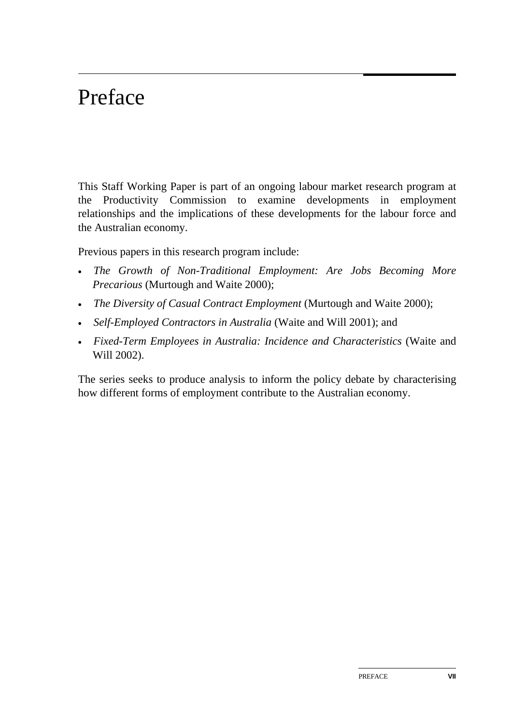## Preface

This Staff Working Paper is part of an ongoing labour market research program at the Productivity Commission to examine developments in employment relationships and the implications of these developments for the labour force and the Australian economy.

Previous papers in this research program include:

- *The Growth of Non-Traditional Employment: Are Jobs Becoming More Precarious* (Murtough and Waite 2000);
- *The Diversity of Casual Contract Employment* (Murtough and Waite 2000);
- *Self-Employed Contractors in Australia* (Waite and Will 2001); and
- *Fixed-Term Employees in Australia: Incidence and Characteristics* (Waite and Will 2002).

The series seeks to produce analysis to inform the policy debate by characterising how different forms of employment contribute to the Australian economy.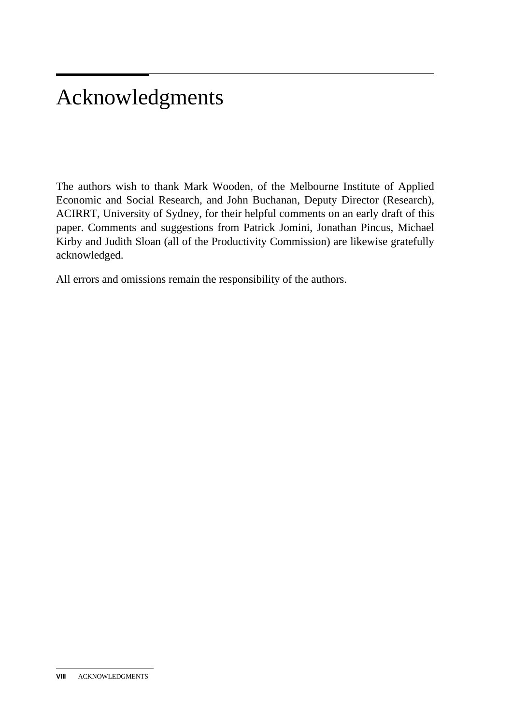## Acknowledgments

The authors wish to thank Mark Wooden, of the Melbourne Institute of Applied Economic and Social Research, and John Buchanan, Deputy Director (Research), ACIRRT, University of Sydney, for their helpful comments on an early draft of this paper. Comments and suggestions from Patrick Jomini, Jonathan Pincus, Michael Kirby and Judith Sloan (all of the Productivity Commission) are likewise gratefully acknowledged.

All errors and omissions remain the responsibility of the authors.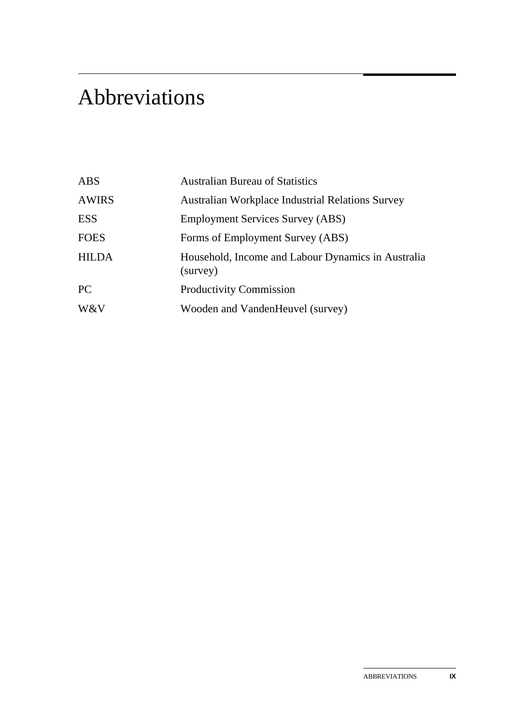## Abbreviations

| <b>ABS</b>   | <b>Australian Bureau of Statistics</b>                         |
|--------------|----------------------------------------------------------------|
| <b>AWIRS</b> | <b>Australian Workplace Industrial Relations Survey</b>        |
| <b>ESS</b>   | <b>Employment Services Survey (ABS)</b>                        |
| <b>FOES</b>  | Forms of Employment Survey (ABS)                               |
| <b>HILDA</b> | Household, Income and Labour Dynamics in Australia<br>(survey) |
| PC           | <b>Productivity Commission</b>                                 |
| W&V          | Wooden and VandenHeuvel (survey)                               |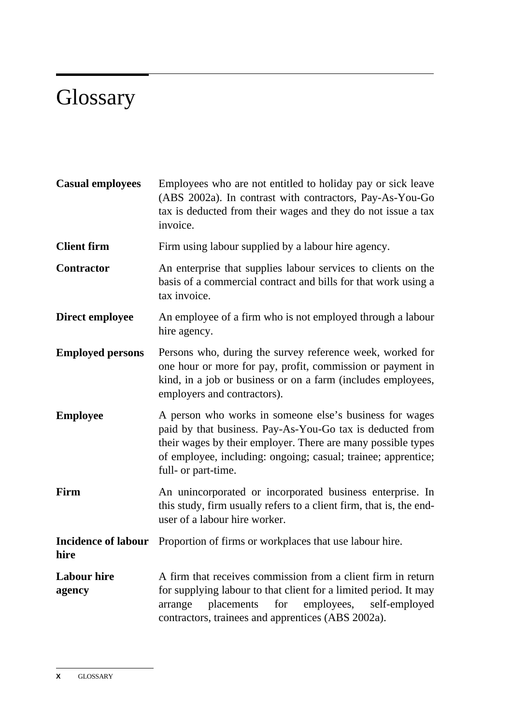## **Glossary**

| <b>Casual employees</b>            | Employees who are not entitled to holiday pay or sick leave<br>(ABS 2002a). In contrast with contractors, Pay-As-You-Go<br>tax is deducted from their wages and they do not issue a tax<br>invoice.                                                                          |
|------------------------------------|------------------------------------------------------------------------------------------------------------------------------------------------------------------------------------------------------------------------------------------------------------------------------|
| <b>Client firm</b>                 | Firm using labour supplied by a labour hire agency.                                                                                                                                                                                                                          |
| <b>Contractor</b>                  | An enterprise that supplies labour services to clients on the<br>basis of a commercial contract and bills for that work using a<br>tax invoice.                                                                                                                              |
| Direct employee                    | An employee of a firm who is not employed through a labour<br>hire agency.                                                                                                                                                                                                   |
| <b>Employed persons</b>            | Persons who, during the survey reference week, worked for<br>one hour or more for pay, profit, commission or payment in<br>kind, in a job or business or on a farm (includes employees,<br>employers and contractors).                                                       |
| <b>Employee</b>                    | A person who works in someone else's business for wages<br>paid by that business. Pay-As-You-Go tax is deducted from<br>their wages by their employer. There are many possible types<br>of employee, including: ongoing; casual; trainee; apprentice;<br>full- or part-time. |
| Firm                               | An unincorporated or incorporated business enterprise. In<br>this study, firm usually refers to a client firm, that is, the end-<br>user of a labour hire worker.                                                                                                            |
| <b>Incidence of labour</b><br>hire | Proportion of firms or workplaces that use labour hire.                                                                                                                                                                                                                      |
| <b>Labour hire</b><br>agency       | A firm that receives commission from a client firm in return<br>for supplying labour to that client for a limited period. It may<br>for<br>employees,<br>self-employed<br>arrange<br>placements<br>contractors, trainees and apprentices (ABS 2002a).                        |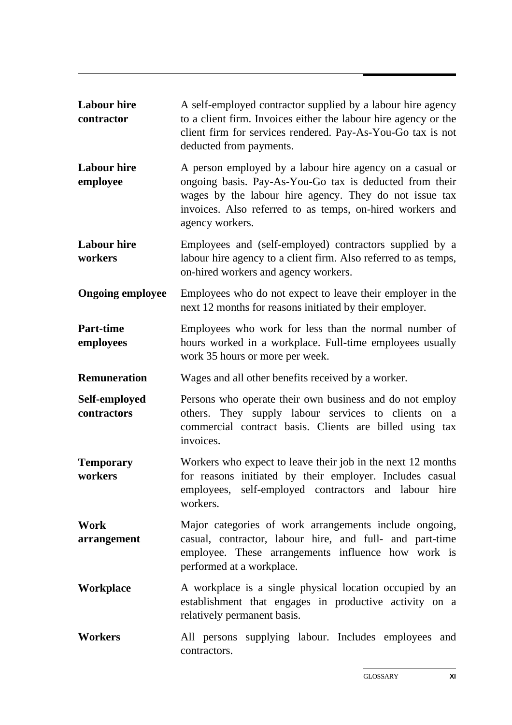| <b>Labour hire</b><br>contractor | A self-employed contractor supplied by a labour hire agency<br>to a client firm. Invoices either the labour hire agency or the<br>client firm for services rendered. Pay-As-You-Go tax is not<br>deducted from payments.                                      |  |  |
|----------------------------------|---------------------------------------------------------------------------------------------------------------------------------------------------------------------------------------------------------------------------------------------------------------|--|--|
| <b>Labour</b> hire<br>employee   | A person employed by a labour hire agency on a casual or<br>ongoing basis. Pay-As-You-Go tax is deducted from their<br>wages by the labour hire agency. They do not issue tax<br>invoices. Also referred to as temps, on-hired workers and<br>agency workers. |  |  |
| <b>Labour hire</b><br>workers    | Employees and (self-employed) contractors supplied by a<br>labour hire agency to a client firm. Also referred to as temps,<br>on-hired workers and agency workers.                                                                                            |  |  |
| <b>Ongoing employee</b>          | Employees who do not expect to leave their employer in the<br>next 12 months for reasons initiated by their employer.                                                                                                                                         |  |  |
| <b>Part-time</b><br>employees    | Employees who work for less than the normal number of<br>hours worked in a workplace. Full-time employees usually<br>work 35 hours or more per week.                                                                                                          |  |  |
| <b>Remuneration</b>              | Wages and all other benefits received by a worker.                                                                                                                                                                                                            |  |  |
| Self-employed<br>contractors     | Persons who operate their own business and do not employ<br>others. They supply labour services to clients on a<br>commercial contract basis. Clients are billed using tax<br>invoices.                                                                       |  |  |
| <b>Temporary</b><br>workers      | Workers who expect to leave their job in the next 12 months<br>for reasons initiated by their employer. Includes casual<br>employees, self-employed contractors and labour hire<br>workers.                                                                   |  |  |
| Work<br>arrangement              | Major categories of work arrangements include ongoing,<br>casual, contractor, labour hire, and full- and part-time<br>employee. These arrangements influence how work is<br>performed at a workplace.                                                         |  |  |
| <b>Workplace</b>                 | A workplace is a single physical location occupied by an<br>establishment that engages in productive activity on a<br>relatively permanent basis.                                                                                                             |  |  |
| <b>Workers</b>                   | All persons supplying labour. Includes employees and<br>contractors.                                                                                                                                                                                          |  |  |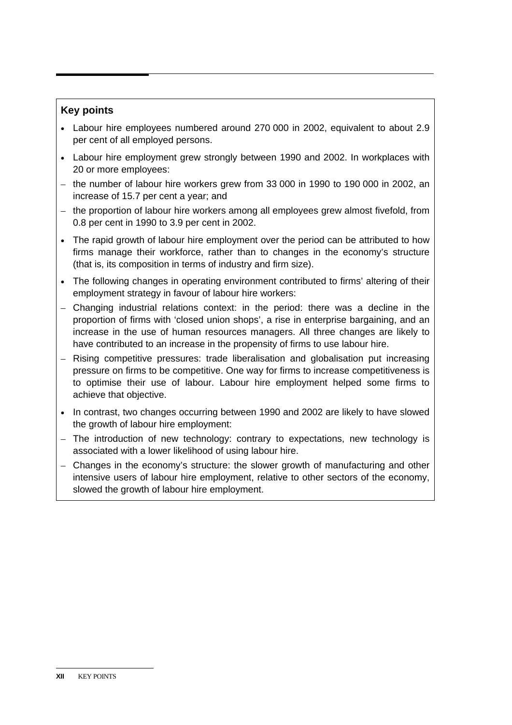#### **Key points**

- Labour hire employees numbered around 270 000 in 2002, equivalent to about 2.9 per cent of all employed persons.
- Labour hire employment grew strongly between 1990 and 2002. In workplaces with 20 or more employees:
- the number of labour hire workers grew from 33 000 in 1990 to 190 000 in 2002, an increase of 15.7 per cent a year; and
- the proportion of labour hire workers among all employees grew almost fivefold, from 0.8 per cent in 1990 to 3.9 per cent in 2002.
- The rapid growth of labour hire employment over the period can be attributed to how firms manage their workforce, rather than to changes in the economy's structure (that is, its composition in terms of industry and firm size).
- The following changes in operating environment contributed to firms' altering of their employment strategy in favour of labour hire workers:
- Changing industrial relations context: in the period: there was a decline in the proportion of firms with 'closed union shops', a rise in enterprise bargaining, and an increase in the use of human resources managers. All three changes are likely to have contributed to an increase in the propensity of firms to use labour hire.
- Rising competitive pressures: trade liberalisation and globalisation put increasing pressure on firms to be competitive. One way for firms to increase competitiveness is to optimise their use of labour. Labour hire employment helped some firms to achieve that objective.
- In contrast, two changes occurring between 1990 and 2002 are likely to have slowed the growth of labour hire employment:
- The introduction of new technology: contrary to expectations, new technology is associated with a lower likelihood of using labour hire.
- Changes in the economy's structure: the slower growth of manufacturing and other intensive users of labour hire employment, relative to other sectors of the economy, slowed the growth of labour hire employment.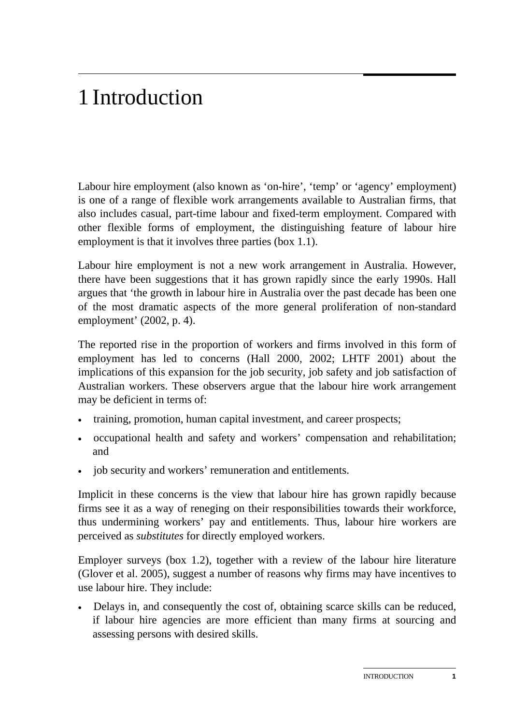## 1 Introduction

Labour hire employment (also known as 'on-hire', 'temp' or 'agency' employment) is one of a range of flexible work arrangements available to Australian firms, that also includes casual, part-time labour and fixed-term employment. Compared with other flexible forms of employment, the distinguishing feature of labour hire employment is that it involves three parties (box 1.1).

Labour hire employment is not a new work arrangement in Australia. However, there have been suggestions that it has grown rapidly since the early 1990s. Hall argues that 'the growth in labour hire in Australia over the past decade has been one of the most dramatic aspects of the more general proliferation of non-standard employment' (2002, p. 4).

The reported rise in the proportion of workers and firms involved in this form of employment has led to concerns (Hall 2000, 2002; LHTF 2001) about the implications of this expansion for the job security, job safety and job satisfaction of Australian workers. These observers argue that the labour hire work arrangement may be deficient in terms of:

- training, promotion, human capital investment, and career prospects;
- occupational health and safety and workers' compensation and rehabilitation; and
- job security and workers' remuneration and entitlements.

Implicit in these concerns is the view that labour hire has grown rapidly because firms see it as a way of reneging on their responsibilities towards their workforce, thus undermining workers' pay and entitlements. Thus, labour hire workers are perceived as *substitutes* for directly employed workers.

Employer surveys (box 1.2), together with a review of the labour hire literature (Glover et al. 2005), suggest a number of reasons why firms may have incentives to use labour hire. They include:

• Delays in, and consequently the cost of, obtaining scarce skills can be reduced, if labour hire agencies are more efficient than many firms at sourcing and assessing persons with desired skills.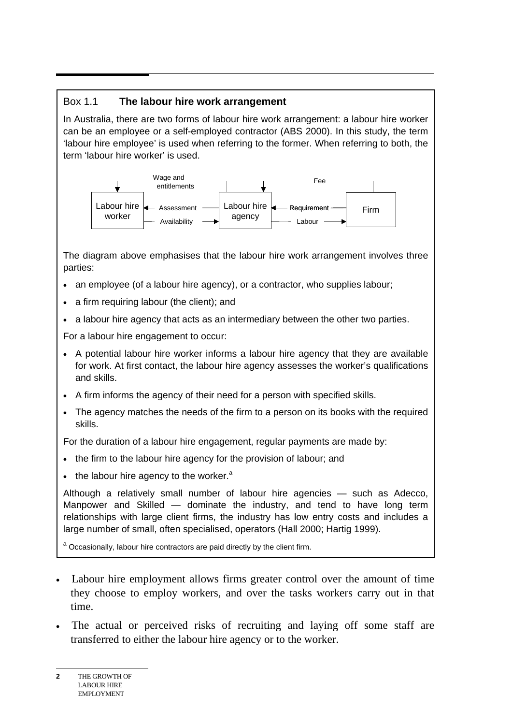#### Box 1.1 **The labour hire work arrangement**

In Australia, there are two forms of labour hire work arrangement: a labour hire worker can be an employee or a self-employed contractor (ABS 2000). In this study, the term 'labour hire employee' is used when referring to the former. When referring to both, the term 'labour hire worker' is used.



The diagram above emphasises that the labour hire work arrangement involves three parties:

- an employee (of a labour hire agency), or a contractor, who supplies labour;
- a firm requiring labour (the client); and
- a labour hire agency that acts as an intermediary between the other two parties.

For a labour hire engagement to occur:

- A potential labour hire worker informs a labour hire agency that they are available for work. At first contact, the labour hire agency assesses the worker's qualifications and skills.
- A firm informs the agency of their need for a person with specified skills.
- The agency matches the needs of the firm to a person on its books with the required skills.

For the duration of a labour hire engagement, regular payments are made by:

- the firm to the labour hire agency for the provision of labour; and
- $\bullet$  the labour hire agency to the worker.<sup>a</sup>

Although a relatively small number of labour hire agencies — such as Adecco, Manpower and Skilled — dominate the industry, and tend to have long term relationships with large client firms, the industry has low entry costs and includes a large number of small, often specialised, operators (Hall 2000; Hartig 1999).

<sup>a</sup> Occasionally, labour hire contractors are paid directly by the client firm.

- Labour hire employment allows firms greater control over the amount of time they choose to employ workers, and over the tasks workers carry out in that time.
- The actual or perceived risks of recruiting and laying off some staff are transferred to either the labour hire agency or to the worker.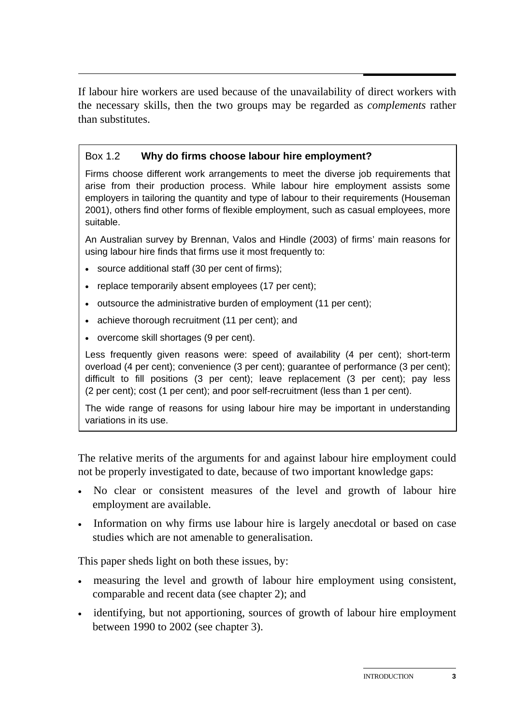$\overline{a}$ If labour hire workers are used because of the unavailability of direct workers with the necessary skills, then the two groups may be regarded as *complements* rather than substitutes.

#### Box 1.2 **Why do firms choose labour hire employment?**

Firms choose different work arrangements to meet the diverse job requirements that arise from their production process. While labour hire employment assists some employers in tailoring the quantity and type of labour to their requirements (Houseman 2001), others find other forms of flexible employment, such as casual employees, more suitable.

An Australian survey by Brennan, Valos and Hindle (2003) of firms' main reasons for using labour hire finds that firms use it most frequently to:

- source additional staff (30 per cent of firms);
- replace temporarily absent employees (17 per cent);
- outsource the administrative burden of employment (11 per cent);
- achieve thorough recruitment (11 per cent); and
- overcome skill shortages (9 per cent).

Less frequently given reasons were: speed of availability (4 per cent); short-term overload (4 per cent); convenience (3 per cent); guarantee of performance (3 per cent); difficult to fill positions (3 per cent); leave replacement (3 per cent); pay less (2 per cent); cost (1 per cent); and poor self-recruitment (less than 1 per cent).

The wide range of reasons for using labour hire may be important in understanding variations in its use.

The relative merits of the arguments for and against labour hire employment could not be properly investigated to date, because of two important knowledge gaps:

- No clear or consistent measures of the level and growth of labour hire employment are available.
- Information on why firms use labour hire is largely anecdotal or based on case studies which are not amenable to generalisation.

This paper sheds light on both these issues, by:

- measuring the level and growth of labour hire employment using consistent, comparable and recent data (see chapter 2); and
- identifying, but not apportioning, sources of growth of labour hire employment between 1990 to 2002 (see chapter 3).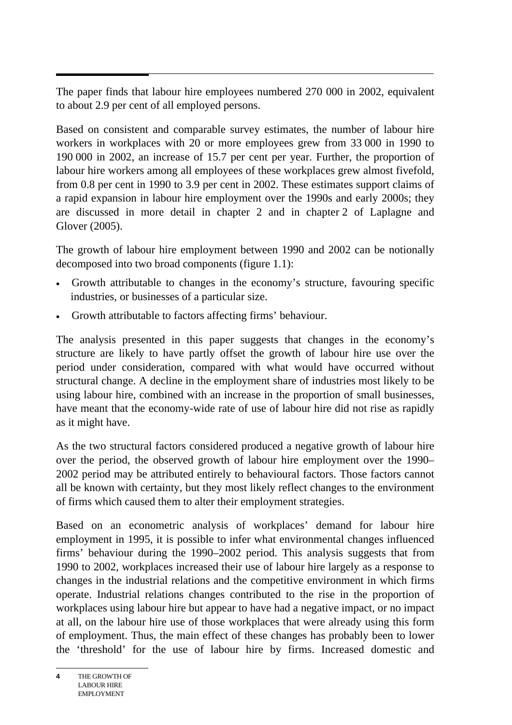$\overline{a}$ The paper finds that labour hire employees numbered 270 000 in 2002, equivalent to about 2.9 per cent of all employed persons.

Based on consistent and comparable survey estimates, the number of labour hire workers in workplaces with 20 or more employees grew from 33 000 in 1990 to 190 000 in 2002, an increase of 15.7 per cent per year. Further, the proportion of labour hire workers among all employees of these workplaces grew almost fivefold, from 0.8 per cent in 1990 to 3.9 per cent in 2002. These estimates support claims of a rapid expansion in labour hire employment over the 1990s and early 2000s; they are discussed in more detail in chapter 2 and in chapter 2 of Laplagne and Glover (2005).

The growth of labour hire employment between 1990 and 2002 can be notionally decomposed into two broad components (figure 1.1):

- Growth attributable to changes in the economy's structure, favouring specific industries, or businesses of a particular size.
- Growth attributable to factors affecting firms' behaviour.

The analysis presented in this paper suggests that changes in the economy's structure are likely to have partly offset the growth of labour hire use over the period under consideration, compared with what would have occurred without structural change. A decline in the employment share of industries most likely to be using labour hire, combined with an increase in the proportion of small businesses, have meant that the economy-wide rate of use of labour hire did not rise as rapidly as it might have.

As the two structural factors considered produced a negative growth of labour hire over the period, the observed growth of labour hire employment over the 1990– 2002 period may be attributed entirely to behavioural factors. Those factors cannot all be known with certainty, but they most likely reflect changes to the environment of firms which caused them to alter their employment strategies.

Based on an econometric analysis of workplaces' demand for labour hire employment in 1995, it is possible to infer what environmental changes influenced firms' behaviour during the 1990–2002 period. This analysis suggests that from 1990 to 2002, workplaces increased their use of labour hire largely as a response to changes in the industrial relations and the competitive environment in which firms operate. Industrial relations changes contributed to the rise in the proportion of workplaces using labour hire but appear to have had a negative impact, or no impact at all, on the labour hire use of those workplaces that were already using this form of employment. Thus, the main effect of these changes has probably been to lower the 'threshold' for the use of labour hire by firms. Increased domestic and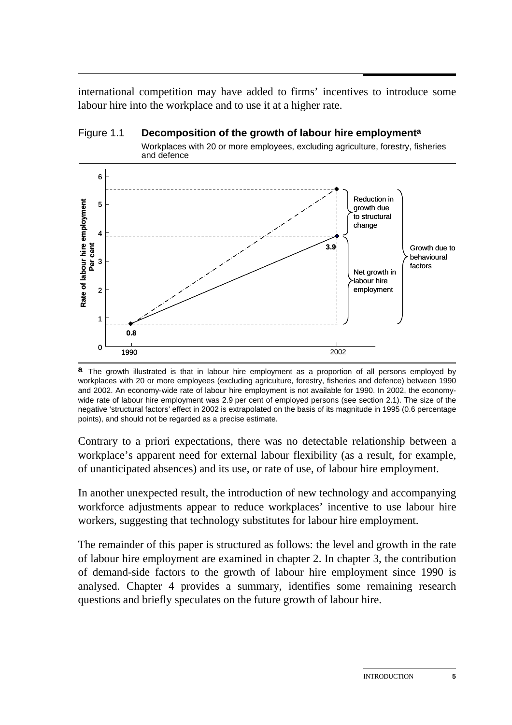$\overline{a}$ international competition may have added to firms' incentives to introduce some labour hire into the workplace and to use it at a higher rate.

### Figure 1.1 **Decomposition of the growth of labour hire employmenta**

Workplaces with 20 or more employees, excluding agriculture, forestry, fisheries and defence



**a** The growth illustrated is that in labour hire employment as a proportion of all persons employed by workplaces with 20 or more employees (excluding agriculture, forestry, fisheries and defence) between 1990 and 2002. An economy-wide rate of labour hire employment is not available for 1990. In 2002, the economywide rate of labour hire employment was 2.9 per cent of employed persons (see section 2.1). The size of the negative 'structural factors' effect in 2002 is extrapolated on the basis of its magnitude in 1995 (0.6 percentage points), and should not be regarded as a precise estimate.

Contrary to a priori expectations, there was no detectable relationship between a workplace's apparent need for external labour flexibility (as a result, for example, of unanticipated absences) and its use, or rate of use, of labour hire employment.

In another unexpected result, the introduction of new technology and accompanying workforce adjustments appear to reduce workplaces' incentive to use labour hire workers, suggesting that technology substitutes for labour hire employment.

The remainder of this paper is structured as follows: the level and growth in the rate of labour hire employment are examined in chapter 2. In chapter 3, the contribution of demand-side factors to the growth of labour hire employment since 1990 is analysed. Chapter 4 provides a summary, identifies some remaining research questions and briefly speculates on the future growth of labour hire.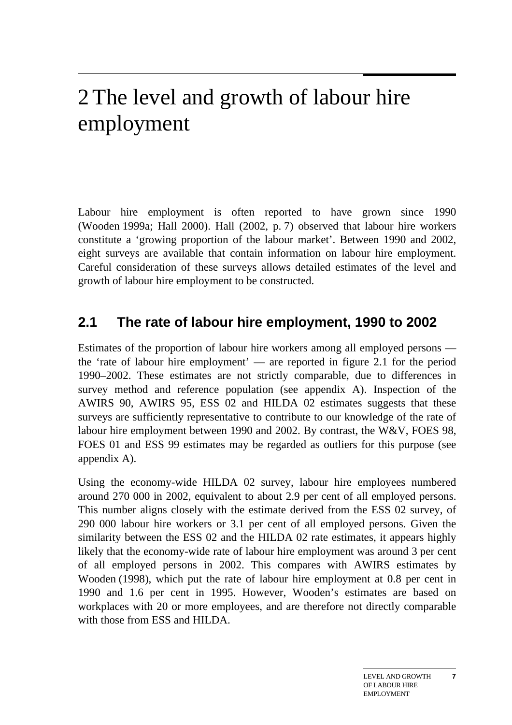## 2 The level and growth of labour hire employment

Labour hire employment is often reported to have grown since 1990 (Wooden 1999a; Hall 2000). Hall (2002, p. 7) observed that labour hire workers constitute a 'growing proportion of the labour market'. Between 1990 and 2002, eight surveys are available that contain information on labour hire employment. Careful consideration of these surveys allows detailed estimates of the level and growth of labour hire employment to be constructed.

### **2.1 The rate of labour hire employment, 1990 to 2002**

Estimates of the proportion of labour hire workers among all employed persons the 'rate of labour hire employment' — are reported in figure 2.1 for the period 1990–2002. These estimates are not strictly comparable, due to differences in survey method and reference population (see appendix A). Inspection of the AWIRS 90, AWIRS 95, ESS 02 and HILDA 02 estimates suggests that these surveys are sufficiently representative to contribute to our knowledge of the rate of labour hire employment between 1990 and 2002. By contrast, the W&V, FOES 98, FOES 01 and ESS 99 estimates may be regarded as outliers for this purpose (see appendix A).

Using the economy-wide HILDA 02 survey, labour hire employees numbered around 270 000 in 2002, equivalent to about 2.9 per cent of all employed persons. This number aligns closely with the estimate derived from the ESS 02 survey, of 290 000 labour hire workers or 3.1 per cent of all employed persons. Given the similarity between the ESS 02 and the HILDA 02 rate estimates, it appears highly likely that the economy-wide rate of labour hire employment was around 3 per cent of all employed persons in 2002. This compares with AWIRS estimates by Wooden (1998), which put the rate of labour hire employment at 0.8 per cent in 1990 and 1.6 per cent in 1995. However, Wooden's estimates are based on workplaces with 20 or more employees, and are therefore not directly comparable with those from ESS and HILDA.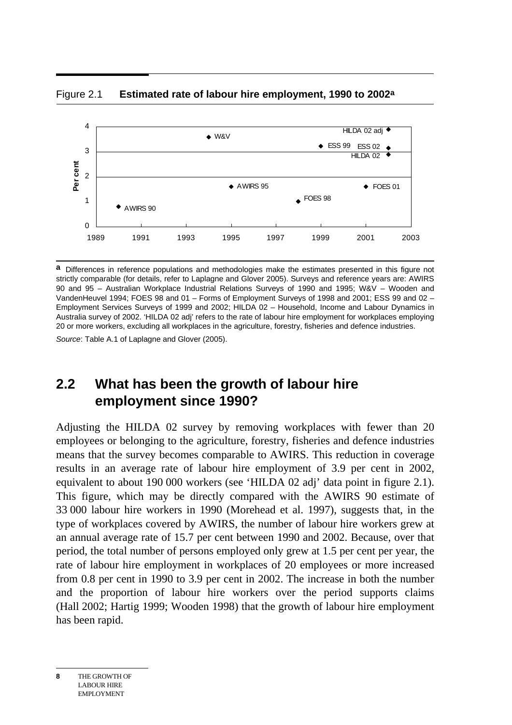4  $HILDA$  02 adj  $\blacklozenge$  $\triangle$  WRV ESS 02 ESS 99 3 HILDA 02 Per cent **Per cent** 2  $\triangle$  AWIRS 95 ◆ FOES 01 FOES 98 1  $*$  AWIRS 90 0 1989 1991 1993 1995 1997 1999 2001 2003



**a** Differences in reference populations and methodologies make the estimates presented in this figure not strictly comparable (for details, refer to Laplagne and Glover 2005). Surveys and reference years are: AWIRS 90 and 95 – Australian Workplace Industrial Relations Surveys of 1990 and 1995; W&V – Wooden and VandenHeuvel 1994; FOES 98 and 01 – Forms of Employment Surveys of 1998 and 2001; ESS 99 and 02 – Employment Services Surveys of 1999 and 2002; HILDA 02 – Household, Income and Labour Dynamics in Australia survey of 2002. 'HILDA 02 adj' refers to the rate of labour hire employment for workplaces employing 20 or more workers, excluding all workplaces in the agriculture, forestry, fisheries and defence industries.

*Source*: Table A.1 of Laplagne and Glover (2005).

### **2.2 What has been the growth of labour hire employment since 1990?**

Adjusting the HILDA 02 survey by removing workplaces with fewer than 20 employees or belonging to the agriculture, forestry, fisheries and defence industries means that the survey becomes comparable to AWIRS. This reduction in coverage results in an average rate of labour hire employment of 3.9 per cent in 2002, equivalent to about 190 000 workers (see 'HILDA 02 adj' data point in figure 2.1). This figure, which may be directly compared with the AWIRS 90 estimate of 33 000 labour hire workers in 1990 (Morehead et al. 1997), suggests that, in the type of workplaces covered by AWIRS, the number of labour hire workers grew at an annual average rate of 15.7 per cent between 1990 and 2002. Because, over that period, the total number of persons employed only grew at 1.5 per cent per year, the rate of labour hire employment in workplaces of 20 employees or more increased from 0.8 per cent in 1990 to 3.9 per cent in 2002. The increase in both the number and the proportion of labour hire workers over the period supports claims (Hall 2002; Hartig 1999; Wooden 1998) that the growth of labour hire employment has been rapid.

**8** THE GROWTH OF LABOUR HIRE EMPLOYMENT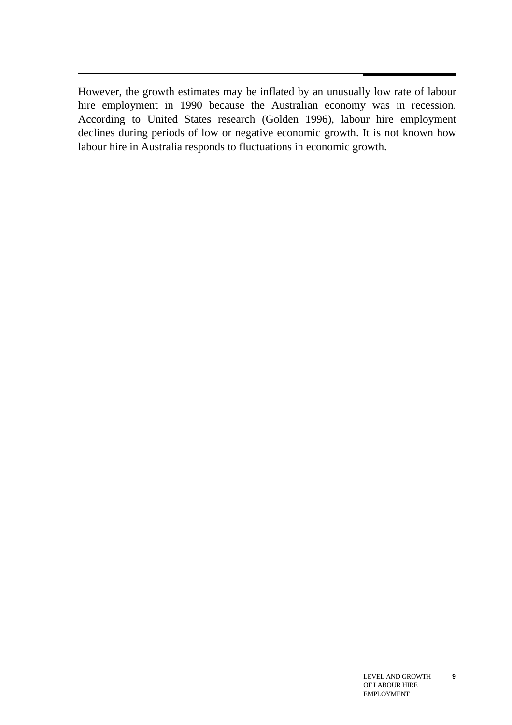$\overline{a}$ However, the growth estimates may be inflated by an unusually low rate of labour hire employment in 1990 because the Australian economy was in recession. According to United States research (Golden 1996), labour hire employment declines during periods of low or negative economic growth. It is not known how labour hire in Australia responds to fluctuations in economic growth.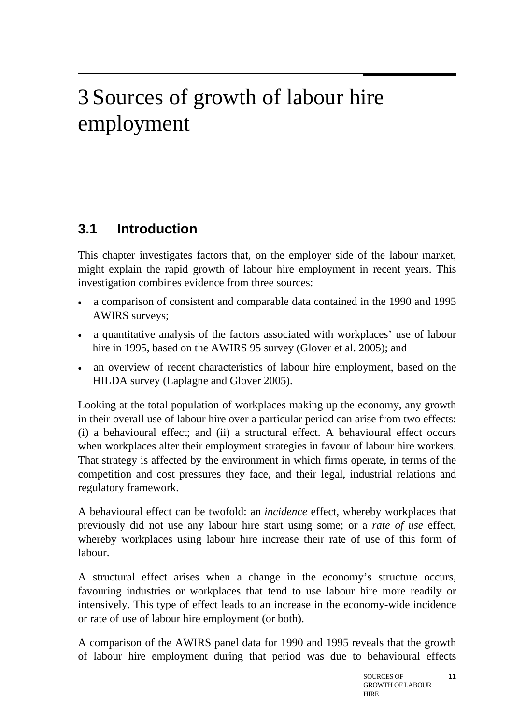## 3 Sources of growth of labour hire employment

### **3.1 Introduction**

This chapter investigates factors that, on the employer side of the labour market, might explain the rapid growth of labour hire employment in recent years. This investigation combines evidence from three sources:

- a comparison of consistent and comparable data contained in the 1990 and 1995 AWIRS surveys;
- a quantitative analysis of the factors associated with workplaces' use of labour hire in 1995, based on the AWIRS 95 survey (Glover et al. 2005); and
- an overview of recent characteristics of labour hire employment, based on the HILDA survey (Laplagne and Glover 2005).

Looking at the total population of workplaces making up the economy, any growth in their overall use of labour hire over a particular period can arise from two effects: (i) a behavioural effect; and (ii) a structural effect. A behavioural effect occurs when workplaces alter their employment strategies in favour of labour hire workers. That strategy is affected by the environment in which firms operate, in terms of the competition and cost pressures they face, and their legal, industrial relations and regulatory framework.

A behavioural effect can be twofold: an *incidence* effect, whereby workplaces that previously did not use any labour hire start using some; or a *rate of use* effect, whereby workplaces using labour hire increase their rate of use of this form of labour.

A structural effect arises when a change in the economy's structure occurs, favouring industries or workplaces that tend to use labour hire more readily or intensively. This type of effect leads to an increase in the economy-wide incidence or rate of use of labour hire employment (or both).

A comparison of the AWIRS panel data for 1990 and 1995 reveals that the growth of labour hire employment during that period was due to behavioural effects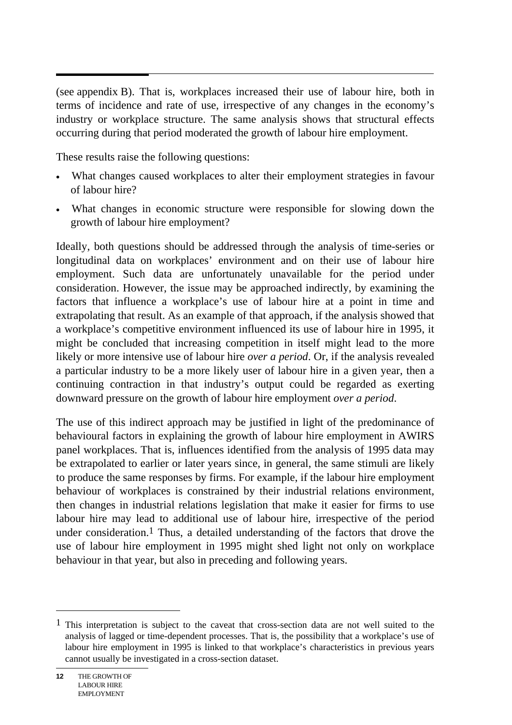(see appendix B). That is, workplaces increased their use of labour hire, both in terms of incidence and rate of use, irrespective of any changes in the economy's industry or workplace structure. The same analysis shows that structural effects occurring during that period moderated the growth of labour hire employment.

These results raise the following questions:

- What changes caused workplaces to alter their employment strategies in favour of labour hire?
- What changes in economic structure were responsible for slowing down the growth of labour hire employment?

Ideally, both questions should be addressed through the analysis of time-series or longitudinal data on workplaces' environment and on their use of labour hire employment. Such data are unfortunately unavailable for the period under consideration. However, the issue may be approached indirectly, by examining the factors that influence a workplace's use of labour hire at a point in time and extrapolating that result. As an example of that approach, if the analysis showed that a workplace's competitive environment influenced its use of labour hire in 1995, it might be concluded that increasing competition in itself might lead to the more likely or more intensive use of labour hire *over a period*. Or, if the analysis revealed a particular industry to be a more likely user of labour hire in a given year, then a continuing contraction in that industry's output could be regarded as exerting downward pressure on the growth of labour hire employment *over a period*.

The use of this indirect approach may be justified in light of the predominance of behavioural factors in explaining the growth of labour hire employment in AWIRS panel workplaces. That is, influences identified from the analysis of 1995 data may be extrapolated to earlier or later years since, in general, the same stimuli are likely to produce the same responses by firms. For example, if the labour hire employment behaviour of workplaces is constrained by their industrial relations environment, then changes in industrial relations legislation that make it easier for firms to use labour hire may lead to additional use of labour hire, irrespective of the period under consideration.<sup>1</sup> Thus, a detailed understanding of the factors that drove the use of labour hire employment in 1995 might shed light not only on workplace behaviour in that year, but also in preceding and following years.

 $<sup>1</sup>$  This interpretation is subject to the caveat that cross-section data are not well suited to the</sup> analysis of lagged or time-dependent processes. That is, the possibility that a workplace's use of labour hire employment in 1995 is linked to that workplace's characteristics in previous years cannot usually be investigated in a cross-section dataset.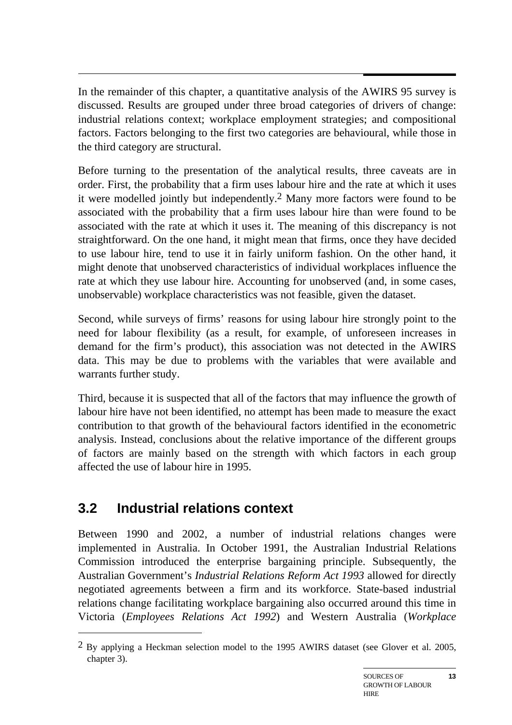$\overline{a}$ In the remainder of this chapter, a quantitative analysis of the AWIRS 95 survey is discussed. Results are grouped under three broad categories of drivers of change: industrial relations context; workplace employment strategies; and compositional factors. Factors belonging to the first two categories are behavioural, while those in the third category are structural.

Before turning to the presentation of the analytical results, three caveats are in order. First, the probability that a firm uses labour hire and the rate at which it uses it were modelled jointly but independently.2 Many more factors were found to be associated with the probability that a firm uses labour hire than were found to be associated with the rate at which it uses it. The meaning of this discrepancy is not straightforward. On the one hand, it might mean that firms, once they have decided to use labour hire, tend to use it in fairly uniform fashion. On the other hand, it might denote that unobserved characteristics of individual workplaces influence the rate at which they use labour hire. Accounting for unobserved (and, in some cases, unobservable) workplace characteristics was not feasible, given the dataset.

Second, while surveys of firms' reasons for using labour hire strongly point to the need for labour flexibility (as a result, for example, of unforeseen increases in demand for the firm's product), this association was not detected in the AWIRS data. This may be due to problems with the variables that were available and warrants further study.

Third, because it is suspected that all of the factors that may influence the growth of labour hire have not been identified, no attempt has been made to measure the exact contribution to that growth of the behavioural factors identified in the econometric analysis. Instead, conclusions about the relative importance of the different groups of factors are mainly based on the strength with which factors in each group affected the use of labour hire in 1995.

### **3.2 Industrial relations context**

 $\overline{a}$ 

Between 1990 and 2002, a number of industrial relations changes were implemented in Australia. In October 1991, the Australian Industrial Relations Commission introduced the enterprise bargaining principle. Subsequently, the Australian Government's *Industrial Relations Reform Act 1993* allowed for directly negotiated agreements between a firm and its workforce. State-based industrial relations change facilitating workplace bargaining also occurred around this time in Victoria (*Employees Relations Act 1992*) and Western Australia (*Workplace* 

 $2$  By applying a Heckman selection model to the 1995 AWIRS dataset (see Glover et al. 2005, chapter 3).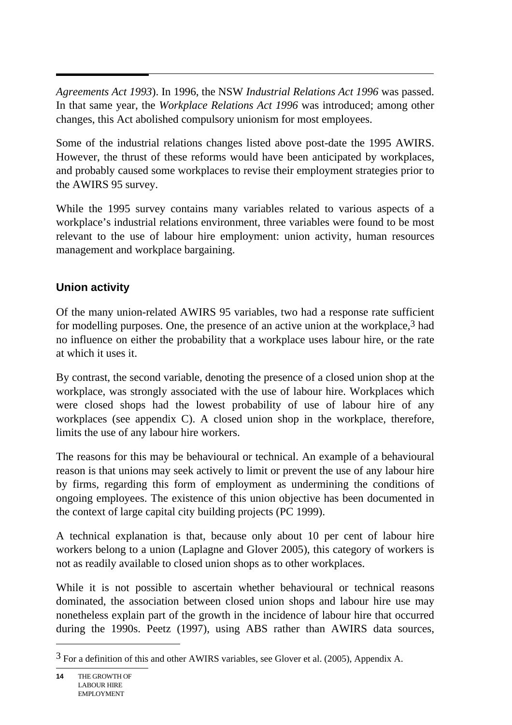*Agreements Act 1993*). In 1996, the NSW *Industrial Relations Act 1996* was passed. In that same year, the *Workplace Relations Act 1996* was introduced; among other changes, this Act abolished compulsory unionism for most employees.

Some of the industrial relations changes listed above post-date the 1995 AWIRS. However, the thrust of these reforms would have been anticipated by workplaces, and probably caused some workplaces to revise their employment strategies prior to the AWIRS 95 survey.

While the 1995 survey contains many variables related to various aspects of a workplace's industrial relations environment, three variables were found to be most relevant to the use of labour hire employment: union activity, human resources management and workplace bargaining.

#### **Union activity**

Of the many union-related AWIRS 95 variables, two had a response rate sufficient for modelling purposes. One, the presence of an active union at the workplace,3 had no influence on either the probability that a workplace uses labour hire, or the rate at which it uses it.

By contrast, the second variable, denoting the presence of a closed union shop at the workplace, was strongly associated with the use of labour hire. Workplaces which were closed shops had the lowest probability of use of labour hire of any workplaces (see appendix C). A closed union shop in the workplace, therefore, limits the use of any labour hire workers.

The reasons for this may be behavioural or technical. An example of a behavioural reason is that unions may seek actively to limit or prevent the use of any labour hire by firms, regarding this form of employment as undermining the conditions of ongoing employees. The existence of this union objective has been documented in the context of large capital city building projects (PC 1999).

A technical explanation is that, because only about 10 per cent of labour hire workers belong to a union (Laplagne and Glover 2005), this category of workers is not as readily available to closed union shops as to other workplaces.

While it is not possible to ascertain whether behavioural or technical reasons dominated, the association between closed union shops and labour hire use may nonetheless explain part of the growth in the incidence of labour hire that occurred during the 1990s. Peetz (1997), using ABS rather than AWIRS data sources,

<sup>3</sup> For a definition of this and other AWIRS variables, see Glover et al. (2005), Appendix A.

**<sup>14</sup>** THE GROWTH OF LABOUR HIRE EMPLOYMENT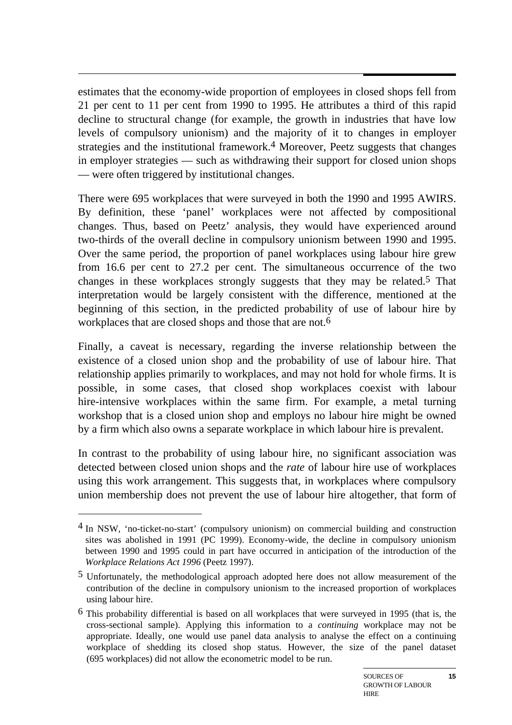estimates that the economy-wide proportion of employees in closed shops fell from 21 per cent to 11 per cent from 1990 to 1995. He attributes a third of this rapid decline to structural change (for example, the growth in industries that have low levels of compulsory unionism) and the majority of it to changes in employer strategies and the institutional framework.<sup>4</sup> Moreover, Peetz suggests that changes in employer strategies — such as withdrawing their support for closed union shops — were often triggered by institutional changes.

There were 695 workplaces that were surveyed in both the 1990 and 1995 AWIRS. By definition, these 'panel' workplaces were not affected by compositional changes. Thus, based on Peetz' analysis, they would have experienced around two-thirds of the overall decline in compulsory unionism between 1990 and 1995. Over the same period, the proportion of panel workplaces using labour hire grew from 16.6 per cent to 27.2 per cent. The simultaneous occurrence of the two changes in these workplaces strongly suggests that they may be related.5 That interpretation would be largely consistent with the difference, mentioned at the beginning of this section, in the predicted probability of use of labour hire by workplaces that are closed shops and those that are not.<sup>6</sup>

Finally, a caveat is necessary, regarding the inverse relationship between the existence of a closed union shop and the probability of use of labour hire. That relationship applies primarily to workplaces, and may not hold for whole firms. It is possible, in some cases, that closed shop workplaces coexist with labour hire-intensive workplaces within the same firm. For example, a metal turning workshop that is a closed union shop and employs no labour hire might be owned by a firm which also owns a separate workplace in which labour hire is prevalent.

In contrast to the probability of using labour hire, no significant association was detected between closed union shops and the *rate* of labour hire use of workplaces using this work arrangement. This suggests that, in workplaces where compulsory union membership does not prevent the use of labour hire altogether, that form of

 $\overline{a}$ 

<sup>4</sup> In NSW, 'no-ticket-no-start' (compulsory unionism) on commercial building and construction sites was abolished in 1991 (PC 1999). Economy-wide, the decline in compulsory unionism between 1990 and 1995 could in part have occurred in anticipation of the introduction of the *Workplace Relations Act 1996* (Peetz 1997).

<sup>5</sup> Unfortunately, the methodological approach adopted here does not allow measurement of the contribution of the decline in compulsory unionism to the increased proportion of workplaces using labour hire.

 $6$  This probability differential is based on all workplaces that were surveyed in 1995 (that is, the cross-sectional sample). Applying this information to a *continuing* workplace may not be appropriate. Ideally, one would use panel data analysis to analyse the effect on a continuing workplace of shedding its closed shop status. However, the size of the panel dataset (695 workplaces) did not allow the econometric model to be run.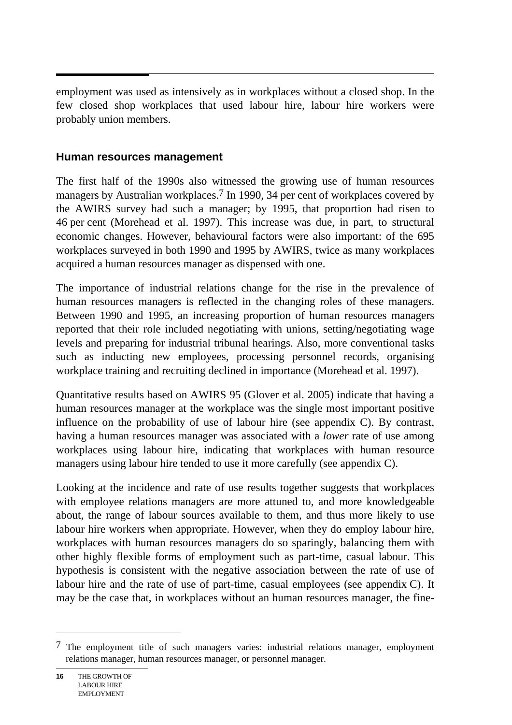employment was used as intensively as in workplaces without a closed shop. In the few closed shop workplaces that used labour hire, labour hire workers were probably union members.

#### **Human resources management**

The first half of the 1990s also witnessed the growing use of human resources managers by Australian workplaces.<sup>7</sup> In 1990, 34 per cent of workplaces covered by the AWIRS survey had such a manager; by 1995, that proportion had risen to 46 per cent (Morehead et al. 1997). This increase was due, in part, to structural economic changes. However, behavioural factors were also important: of the 695 workplaces surveyed in both 1990 and 1995 by AWIRS, twice as many workplaces acquired a human resources manager as dispensed with one.

The importance of industrial relations change for the rise in the prevalence of human resources managers is reflected in the changing roles of these managers. Between 1990 and 1995, an increasing proportion of human resources managers reported that their role included negotiating with unions, setting/negotiating wage levels and preparing for industrial tribunal hearings. Also, more conventional tasks such as inducting new employees, processing personnel records, organising workplace training and recruiting declined in importance (Morehead et al. 1997).

Quantitative results based on AWIRS 95 (Glover et al. 2005) indicate that having a human resources manager at the workplace was the single most important positive influence on the probability of use of labour hire (see appendix C). By contrast, having a human resources manager was associated with a *lower* rate of use among workplaces using labour hire, indicating that workplaces with human resource managers using labour hire tended to use it more carefully (see appendix C).

Looking at the incidence and rate of use results together suggests that workplaces with employee relations managers are more attuned to, and more knowledgeable about, the range of labour sources available to them, and thus more likely to use labour hire workers when appropriate. However, when they do employ labour hire, workplaces with human resources managers do so sparingly, balancing them with other highly flexible forms of employment such as part-time, casual labour. This hypothesis is consistent with the negative association between the rate of use of labour hire and the rate of use of part-time, casual employees (see appendix C). It may be the case that, in workplaces without an human resources manager, the fine-

l

<sup>7</sup> The employment title of such managers varies: industrial relations manager, employment relations manager, human resources manager, or personnel manager.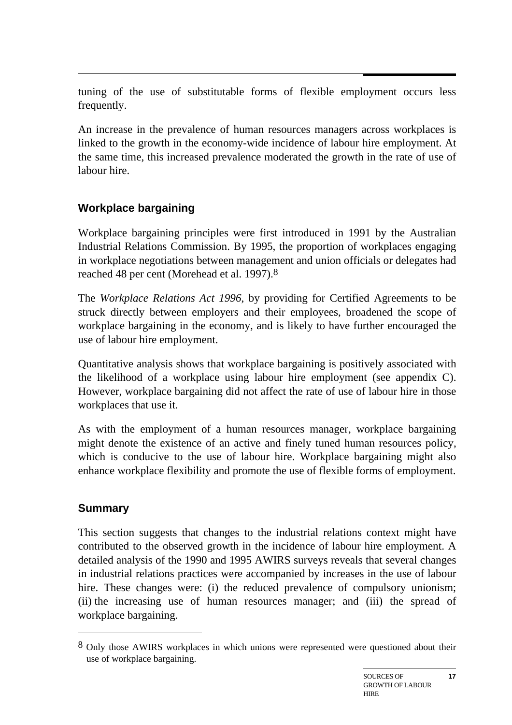tuning of the use of substitutable forms of flexible employment occurs less frequently.

An increase in the prevalence of human resources managers across workplaces is linked to the growth in the economy-wide incidence of labour hire employment. At the same time, this increased prevalence moderated the growth in the rate of use of labour hire.

#### **Workplace bargaining**

Workplace bargaining principles were first introduced in 1991 by the Australian Industrial Relations Commission. By 1995, the proportion of workplaces engaging in workplace negotiations between management and union officials or delegates had reached 48 per cent (Morehead et al. 1997).8

The *Workplace Relations Act 1996*, by providing for Certified Agreements to be struck directly between employers and their employees, broadened the scope of workplace bargaining in the economy, and is likely to have further encouraged the use of labour hire employment.

Quantitative analysis shows that workplace bargaining is positively associated with the likelihood of a workplace using labour hire employment (see appendix C). However, workplace bargaining did not affect the rate of use of labour hire in those workplaces that use it.

As with the employment of a human resources manager, workplace bargaining might denote the existence of an active and finely tuned human resources policy, which is conducive to the use of labour hire. Workplace bargaining might also enhance workplace flexibility and promote the use of flexible forms of employment.

#### **Summary**

 $\overline{a}$ 

This section suggests that changes to the industrial relations context might have contributed to the observed growth in the incidence of labour hire employment. A detailed analysis of the 1990 and 1995 AWIRS surveys reveals that several changes in industrial relations practices were accompanied by increases in the use of labour hire. These changes were: (i) the reduced prevalence of compulsory unionism; (ii) the increasing use of human resources manager; and (iii) the spread of workplace bargaining.

<sup>&</sup>lt;sup>8</sup> Only those AWIRS workplaces in which unions were represented were questioned about their use of workplace bargaining.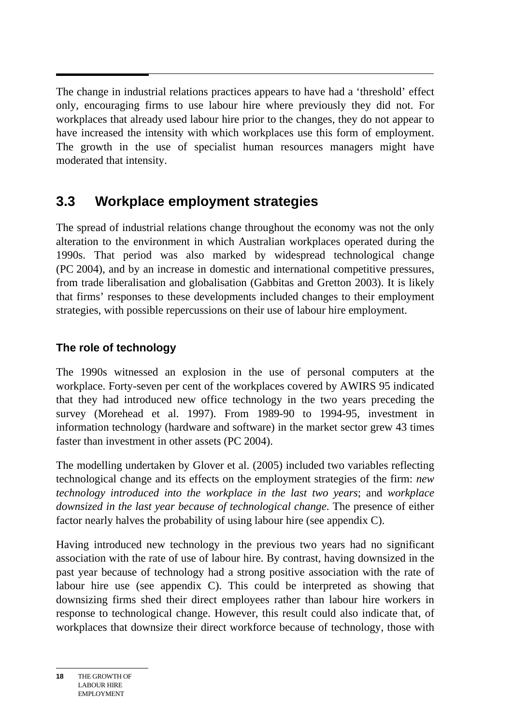$\overline{a}$ The change in industrial relations practices appears to have had a 'threshold' effect only, encouraging firms to use labour hire where previously they did not. For workplaces that already used labour hire prior to the changes, they do not appear to have increased the intensity with which workplaces use this form of employment. The growth in the use of specialist human resources managers might have moderated that intensity.

### **3.3 Workplace employment strategies**

The spread of industrial relations change throughout the economy was not the only alteration to the environment in which Australian workplaces operated during the 1990s. That period was also marked by widespread technological change (PC 2004), and by an increase in domestic and international competitive pressures, from trade liberalisation and globalisation (Gabbitas and Gretton 2003). It is likely that firms' responses to these developments included changes to their employment strategies, with possible repercussions on their use of labour hire employment.

### **The role of technology**

The 1990s witnessed an explosion in the use of personal computers at the workplace. Forty-seven per cent of the workplaces covered by AWIRS 95 indicated that they had introduced new office technology in the two years preceding the survey (Morehead et al. 1997). From 1989-90 to 1994-95, investment in information technology (hardware and software) in the market sector grew 43 times faster than investment in other assets (PC 2004).

The modelling undertaken by Glover et al. (2005) included two variables reflecting technological change and its effects on the employment strategies of the firm: *new technology introduced into the workplace in the last two years*; and *workplace downsized in the last year because of technological change*. The presence of either factor nearly halves the probability of using labour hire (see appendix C).

Having introduced new technology in the previous two years had no significant association with the rate of use of labour hire. By contrast, having downsized in the past year because of technology had a strong positive association with the rate of labour hire use (see appendix C). This could be interpreted as showing that downsizing firms shed their direct employees rather than labour hire workers in response to technological change. However, this result could also indicate that, of workplaces that downsize their direct workforce because of technology, those with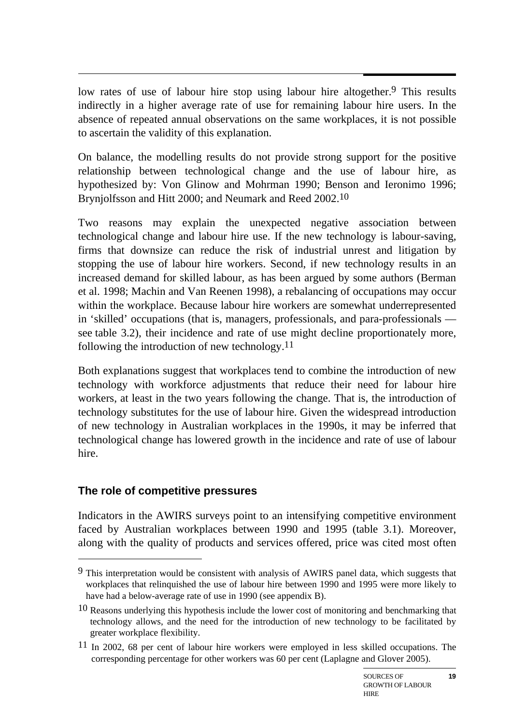$\overline{a}$ low rates of use of labour hire stop using labour hire altogether.<sup>9</sup> This results indirectly in a higher average rate of use for remaining labour hire users. In the absence of repeated annual observations on the same workplaces, it is not possible to ascertain the validity of this explanation.

On balance, the modelling results do not provide strong support for the positive relationship between technological change and the use of labour hire, as hypothesized by: Von Glinow and Mohrman 1990; Benson and Ieronimo 1996; Brynjolfsson and Hitt 2000; and Neumark and Reed 2002.10

Two reasons may explain the unexpected negative association between technological change and labour hire use. If the new technology is labour-saving, firms that downsize can reduce the risk of industrial unrest and litigation by stopping the use of labour hire workers. Second, if new technology results in an increased demand for skilled labour, as has been argued by some authors (Berman et al. 1998; Machin and Van Reenen 1998), a rebalancing of occupations may occur within the workplace. Because labour hire workers are somewhat underrepresented in 'skilled' occupations (that is, managers, professionals, and para-professionals see table 3.2), their incidence and rate of use might decline proportionately more, following the introduction of new technology.11

Both explanations suggest that workplaces tend to combine the introduction of new technology with workforce adjustments that reduce their need for labour hire workers, at least in the two years following the change. That is, the introduction of technology substitutes for the use of labour hire. Given the widespread introduction of new technology in Australian workplaces in the 1990s, it may be inferred that technological change has lowered growth in the incidence and rate of use of labour hire.

#### **The role of competitive pressures**

 $\overline{a}$ 

Indicators in the AWIRS surveys point to an intensifying competitive environment faced by Australian workplaces between 1990 and 1995 (table 3.1). Moreover, along with the quality of products and services offered, price was cited most often

<sup>9</sup> This interpretation would be consistent with analysis of AWIRS panel data, which suggests that workplaces that relinquished the use of labour hire between 1990 and 1995 were more likely to have had a below-average rate of use in 1990 (see appendix B).

 $10$  Reasons underlying this hypothesis include the lower cost of monitoring and benchmarking that technology allows, and the need for the introduction of new technology to be facilitated by greater workplace flexibility.

 $11$  In 2002, 68 per cent of labour hire workers were employed in less skilled occupations. The corresponding percentage for other workers was 60 per cent (Laplagne and Glover 2005).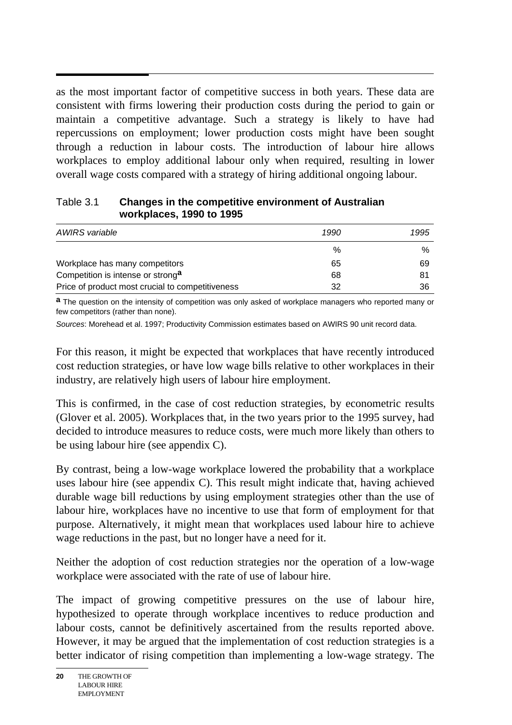as the most important factor of competitive success in both years. These data are consistent with firms lowering their production costs during the period to gain or maintain a competitive advantage. Such a strategy is likely to have had repercussions on employment; lower production costs might have been sought through a reduction in labour costs. The introduction of labour hire allows workplaces to employ additional labour only when required, resulting in lower overall wage costs compared with a strategy of hiring additional ongoing labour.

| 1.911                                            |      |      |
|--------------------------------------------------|------|------|
| AWIRS variable                                   | 1990 | 1995 |
|                                                  | %    | ℅    |
| Workplace has many competitors                   | 65   | 69   |
| Competition is intense or strong <sup>a</sup>    | 68   | 81   |
| Price of product most crucial to competitiveness | 32   | 36   |

#### Table 3.1 **Changes in the competitive environment of Australian workplaces, 1990 to 1995**

**a** The question on the intensity of competition was only asked of workplace managers who reported many or few competitors (rather than none).

*Sources*: Morehead et al. 1997; Productivity Commission estimates based on AWIRS 90 unit record data.

For this reason, it might be expected that workplaces that have recently introduced cost reduction strategies, or have low wage bills relative to other workplaces in their industry, are relatively high users of labour hire employment.

This is confirmed, in the case of cost reduction strategies, by econometric results (Glover et al. 2005). Workplaces that, in the two years prior to the 1995 survey, had decided to introduce measures to reduce costs, were much more likely than others to be using labour hire (see appendix C).

By contrast, being a low-wage workplace lowered the probability that a workplace uses labour hire (see appendix C). This result might indicate that, having achieved durable wage bill reductions by using employment strategies other than the use of labour hire, workplaces have no incentive to use that form of employment for that purpose. Alternatively, it might mean that workplaces used labour hire to achieve wage reductions in the past, but no longer have a need for it.

Neither the adoption of cost reduction strategies nor the operation of a low-wage workplace were associated with the rate of use of labour hire.

The impact of growing competitive pressures on the use of labour hire, hypothesized to operate through workplace incentives to reduce production and labour costs, cannot be definitively ascertained from the results reported above. However, it may be argued that the implementation of cost reduction strategies is a better indicator of rising competition than implementing a low-wage strategy. The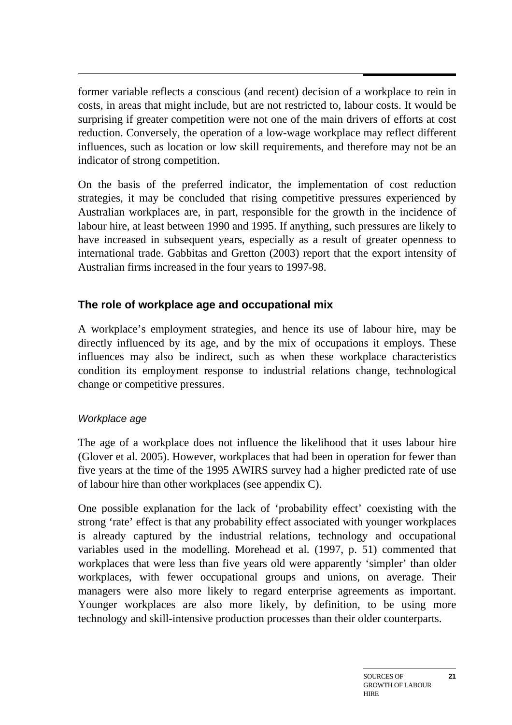$\overline{a}$ former variable reflects a conscious (and recent) decision of a workplace to rein in costs, in areas that might include, but are not restricted to, labour costs. It would be surprising if greater competition were not one of the main drivers of efforts at cost reduction. Conversely, the operation of a low-wage workplace may reflect different influences, such as location or low skill requirements, and therefore may not be an indicator of strong competition.

On the basis of the preferred indicator, the implementation of cost reduction strategies, it may be concluded that rising competitive pressures experienced by Australian workplaces are, in part, responsible for the growth in the incidence of labour hire, at least between 1990 and 1995. If anything, such pressures are likely to have increased in subsequent years, especially as a result of greater openness to international trade. Gabbitas and Gretton (2003) report that the export intensity of Australian firms increased in the four years to 1997-98.

#### **The role of workplace age and occupational mix**

A workplace's employment strategies, and hence its use of labour hire, may be directly influenced by its age, and by the mix of occupations it employs. These influences may also be indirect, such as when these workplace characteristics condition its employment response to industrial relations change, technological change or competitive pressures.

#### *Workplace age*

The age of a workplace does not influence the likelihood that it uses labour hire (Glover et al. 2005). However, workplaces that had been in operation for fewer than five years at the time of the 1995 AWIRS survey had a higher predicted rate of use of labour hire than other workplaces (see appendix C).

One possible explanation for the lack of 'probability effect' coexisting with the strong 'rate' effect is that any probability effect associated with younger workplaces is already captured by the industrial relations, technology and occupational variables used in the modelling. Morehead et al. (1997, p. 51) commented that workplaces that were less than five years old were apparently 'simpler' than older workplaces, with fewer occupational groups and unions, on average. Their managers were also more likely to regard enterprise agreements as important. Younger workplaces are also more likely, by definition, to be using more technology and skill-intensive production processes than their older counterparts.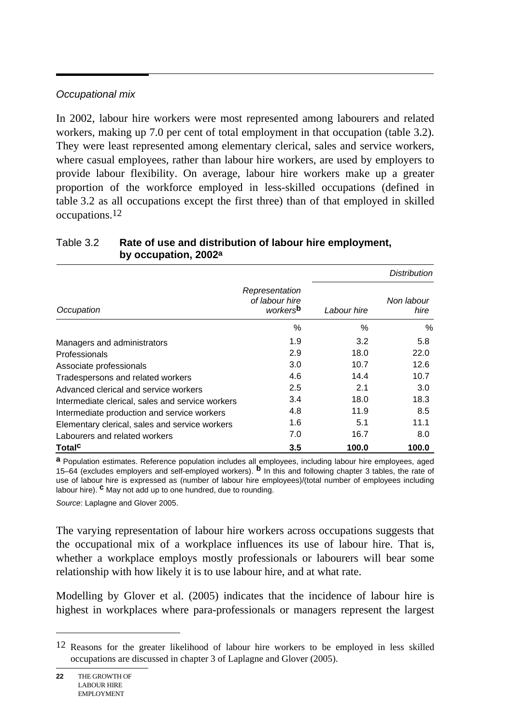#### *Occupational mix*

In 2002, labour hire workers were most represented among labourers and related workers, making up 7.0 per cent of total employment in that occupation (table 3.2). They were least represented among elementary clerical, sales and service workers, where casual employees, rather than labour hire workers, are used by employers to provide labour flexibility. On average, labour hire workers make up a greater proportion of the workforce employed in less-skilled occupations (defined in table 3.2 as all occupations except the first three) than of that employed in skilled occupations.12

|                                                  |                                              |             | <b>Distribution</b> |
|--------------------------------------------------|----------------------------------------------|-------------|---------------------|
| Occupation                                       | Representation<br>of labour hire<br>workersb | Labour hire | Non labour<br>hire  |
|                                                  | %                                            | ℅           | $\%$                |
| Managers and administrators                      | 1.9                                          | 3.2         | 5.8                 |
| Professionals                                    | 2.9                                          | 18.0        | 22.0                |
| Associate professionals                          | 3.0                                          | 10.7        | 12.6                |
| Tradespersons and related workers                | 4.6                                          | 14.4        | 10.7                |
| Advanced clerical and service workers            | 2.5                                          | 2.1         | 3.0                 |
| Intermediate clerical, sales and service workers | 3.4                                          | 18.0        | 18.3                |
| Intermediate production and service workers      | 4.8                                          | 11.9        | 8.5                 |
| Elementary clerical, sales and service workers   | 1.6                                          | 5.1         | 11.1                |
| Labourers and related workers                    | 7.0                                          | 16.7        | 8.0                 |
| <b>Total<sup>c</sup></b>                         | 3.5                                          | 100.0       | 100.0               |

#### Table 3.2 **Rate of use and distribution of labour hire employment, by occupation, 2002a**

**a** Population estimates. Reference population includes all employees, including labour hire employees, aged 15–64 (excludes employers and self-employed workers). **b** In this and following chapter 3 tables, the rate of use of labour hire is expressed as (number of labour hire employees)/(total number of employees including labour hire). **c** May not add up to one hundred, due to rounding.

*Source*: Laplagne and Glover 2005.

The varying representation of labour hire workers across occupations suggests that the occupational mix of a workplace influences its use of labour hire. That is, whether a workplace employs mostly professionals or labourers will bear some relationship with how likely it is to use labour hire, and at what rate.

Modelling by Glover et al. (2005) indicates that the incidence of labour hire is highest in workplaces where para-professionals or managers represent the largest

l

<sup>12</sup> Reasons for the greater likelihood of labour hire workers to be employed in less skilled occupations are discussed in chapter 3 of Laplagne and Glover (2005).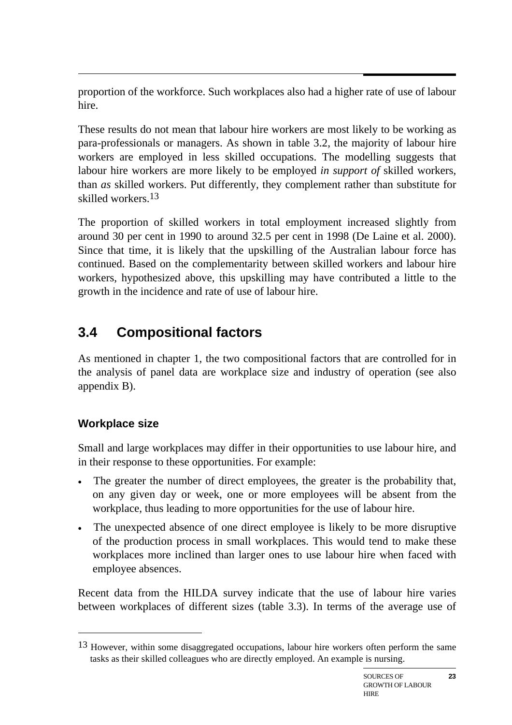proportion of the workforce. Such workplaces also had a higher rate of use of labour hire.

These results do not mean that labour hire workers are most likely to be working as para-professionals or managers. As shown in table 3.2, the majority of labour hire workers are employed in less skilled occupations. The modelling suggests that labour hire workers are more likely to be employed *in support of* skilled workers, than *as* skilled workers. Put differently, they complement rather than substitute for skilled workers.13

The proportion of skilled workers in total employment increased slightly from around 30 per cent in 1990 to around 32.5 per cent in 1998 (De Laine et al. 2000). Since that time, it is likely that the upskilling of the Australian labour force has continued. Based on the complementarity between skilled workers and labour hire workers, hypothesized above, this upskilling may have contributed a little to the growth in the incidence and rate of use of labour hire.

## **3.4 Compositional factors**

As mentioned in chapter 1, the two compositional factors that are controlled for in the analysis of panel data are workplace size and industry of operation (see also appendix B).

### **Workplace size**

 $\overline{a}$ 

Small and large workplaces may differ in their opportunities to use labour hire, and in their response to these opportunities. For example:

- The greater the number of direct employees, the greater is the probability that, on any given day or week, one or more employees will be absent from the workplace, thus leading to more opportunities for the use of labour hire.
- The unexpected absence of one direct employee is likely to be more disruptive of the production process in small workplaces. This would tend to make these workplaces more inclined than larger ones to use labour hire when faced with employee absences.

Recent data from the HILDA survey indicate that the use of labour hire varies between workplaces of different sizes (table 3.3). In terms of the average use of

<sup>&</sup>lt;sup>13</sup> However, within some disaggregated occupations, labour hire workers often perform the same tasks as their skilled colleagues who are directly employed. An example is nursing.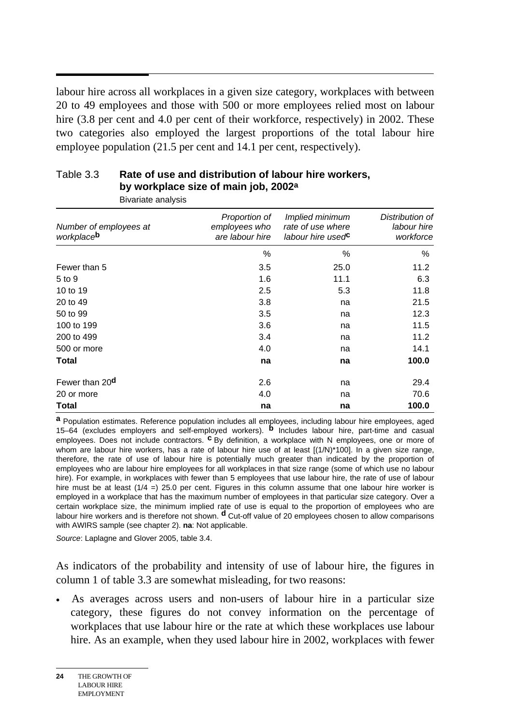$\overline{a}$ labour hire across all workplaces in a given size category, workplaces with between 20 to 49 employees and those with 500 or more employees relied most on labour hire (3.8 per cent and 4.0 per cent of their workforce, respectively) in 2002. These two categories also employed the largest proportions of the total labour hire employee population (21.5 per cent and 14.1 per cent, respectively).

| Bivariate analysis                   |                                                   |                                                                       |                                             |
|--------------------------------------|---------------------------------------------------|-----------------------------------------------------------------------|---------------------------------------------|
| Number of employees at<br>workplaceb | Proportion of<br>employees who<br>are labour hire | Implied minimum<br>rate of use where<br>labour hire used <sup>c</sup> | Distribution of<br>labour hire<br>workforce |
|                                      | %                                                 | %                                                                     | %                                           |
| Fewer than 5                         | 3.5                                               | 25.0                                                                  | 11.2                                        |
| 5 to 9                               | 1.6                                               | 11.1                                                                  | 6.3                                         |
| 10 to 19                             | 2.5                                               | 5.3                                                                   | 11.8                                        |
| 20 to 49                             | 3.8                                               | na                                                                    | 21.5                                        |
| 50 to 99                             | 3.5                                               | na                                                                    | 12.3                                        |
| 100 to 199                           | 3.6                                               | na                                                                    | 11.5                                        |
| 200 to 499                           | 3.4                                               | na                                                                    | 11.2                                        |
| 500 or more                          | 4.0                                               | na                                                                    | 14.1                                        |
| <b>Total</b>                         | na                                                | na                                                                    | 100.0                                       |
| Fewer than 20 <sup>d</sup>           | 2.6                                               | na                                                                    | 29.4                                        |
| 20 or more                           | 4.0                                               | na                                                                    | 70.6                                        |
| <b>Total</b>                         | na                                                | na                                                                    | 100.0                                       |

#### Table 3.3 **Rate of use and distribution of labour hire workers, by workplace size of main job, 2002a**

**a** Population estimates. Reference population includes all employees, including labour hire employees, aged 15–64 (excludes employers and self-employed workers). **b** Includes labour hire, part-time and casual employees. Does not include contractors. **c** By definition, a workplace with N employees, one or more of whom are labour hire workers, has a rate of labour hire use of at least  $[(1/N)^*100]$ . In a given size range, therefore, the rate of use of labour hire is potentially much greater than indicated by the proportion of employees who are labour hire employees for all workplaces in that size range (some of which use no labour hire). For example, in workplaces with fewer than 5 employees that use labour hire, the rate of use of labour hire must be at least  $(1/4 =)$  25.0 per cent. Figures in this column assume that one labour hire worker is employed in a workplace that has the maximum number of employees in that particular size category. Over a certain workplace size, the minimum implied rate of use is equal to the proportion of employees who are labour hire workers and is therefore not shown. **d** Cut-off value of 20 employees chosen to allow comparisons with AWIRS sample (see chapter 2). **na**: Not applicable.

*Source*: Laplagne and Glover 2005, table 3.4.

As indicators of the probability and intensity of use of labour hire, the figures in column 1 of table 3.3 are somewhat misleading, for two reasons:

• As averages across users and non-users of labour hire in a particular size category, these figures do not convey information on the percentage of workplaces that use labour hire or the rate at which these workplaces use labour hire. As an example, when they used labour hire in 2002, workplaces with fewer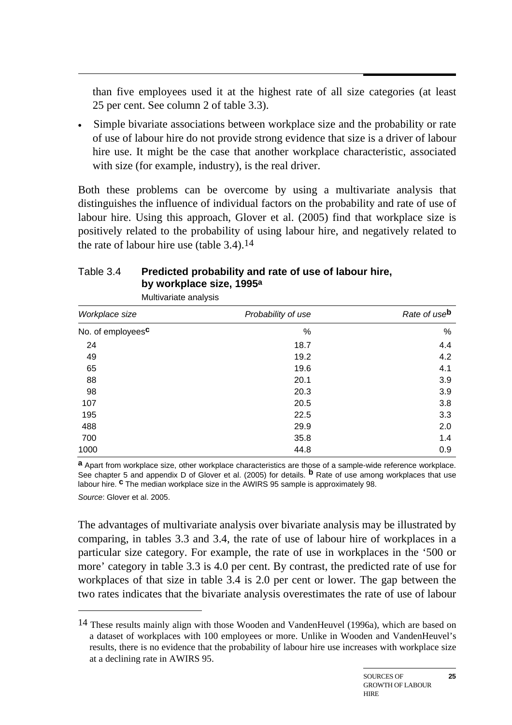than five employees used it at the highest rate of all size categories (at least 25 per cent. See column 2 of table 3.3).

• Simple bivariate associations between workplace size and the probability or rate of use of labour hire do not provide strong evidence that size is a driver of labour hire use. It might be the case that another workplace characteristic, associated with size (for example, industry), is the real driver.

Both these problems can be overcome by using a multivariate analysis that distinguishes the influence of individual factors on the probability and rate of use of labour hire. Using this approach, Glover et al. (2005) find that workplace size is positively related to the probability of using labour hire, and negatively related to the rate of labour hire use (table  $3.4$ ).<sup>14</sup>

#### Table 3.4 **Predicted probability and rate of use of labour hire, by workplace size, 1995a**

| Workplace size                | Probability of use | Rate of use <sup>b</sup> |
|-------------------------------|--------------------|--------------------------|
| No. of employees <sup>c</sup> | $\%$               | %                        |
| 24                            | 18.7               | 4.4                      |
| 49                            | 19.2               | 4.2                      |
| 65                            | 19.6               | 4.1                      |
| 88                            | 20.1               | 3.9                      |
| 98                            | 20.3               | 3.9                      |
| 107                           | 20.5               | 3.8                      |
| 195                           | 22.5               | 3.3                      |
| 488                           | 29.9               | 2.0                      |
| 700                           | 35.8               | 1.4                      |
| 1000                          | 44.8               | 0.9                      |

Multivariate analysis

 $\overline{a}$ 

**a** Apart from workplace size, other workplace characteristics are those of a sample-wide reference workplace. See chapter 5 and appendix D of Glover et al. (2005) for details. **b** Rate of use among workplaces that use labour hire. **c** The median workplace size in the AWIRS 95 sample is approximately 98. *Source*: Glover et al. 2005.

The advantages of multivariate analysis over bivariate analysis may be illustrated by comparing, in tables 3.3 and 3.4, the rate of use of labour hire of workplaces in a particular size category. For example, the rate of use in workplaces in the '500 or more' category in table 3.3 is 4.0 per cent. By contrast, the predicted rate of use for workplaces of that size in table 3.4 is 2.0 per cent or lower. The gap between the two rates indicates that the bivariate analysis overestimates the rate of use of labour

<sup>&</sup>lt;sup>14</sup> These results mainly align with those Wooden and VandenHeuvel (1996a), which are based on a dataset of workplaces with 100 employees or more. Unlike in Wooden and VandenHeuvel's results, there is no evidence that the probability of labour hire use increases with workplace size at a declining rate in AWIRS 95.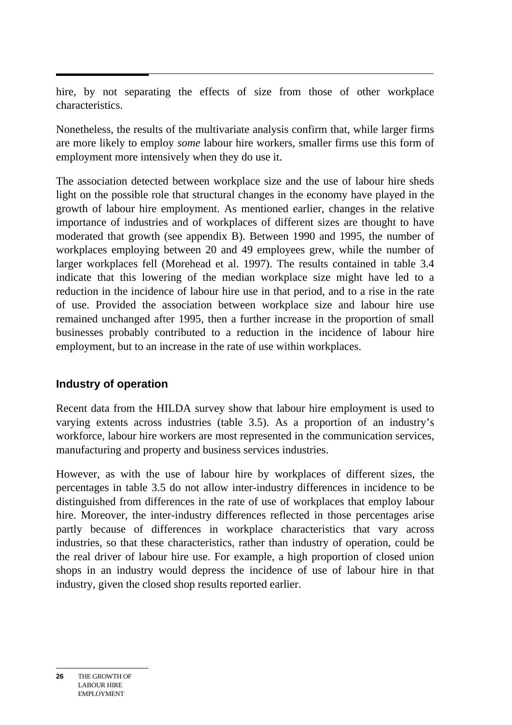$\overline{a}$ hire, by not separating the effects of size from those of other workplace characteristics.

Nonetheless, the results of the multivariate analysis confirm that, while larger firms are more likely to employ *some* labour hire workers, smaller firms use this form of employment more intensively when they do use it.

The association detected between workplace size and the use of labour hire sheds light on the possible role that structural changes in the economy have played in the growth of labour hire employment. As mentioned earlier, changes in the relative importance of industries and of workplaces of different sizes are thought to have moderated that growth (see appendix B). Between 1990 and 1995, the number of workplaces employing between 20 and 49 employees grew, while the number of larger workplaces fell (Morehead et al. 1997). The results contained in table 3.4 indicate that this lowering of the median workplace size might have led to a reduction in the incidence of labour hire use in that period, and to a rise in the rate of use. Provided the association between workplace size and labour hire use remained unchanged after 1995, then a further increase in the proportion of small businesses probably contributed to a reduction in the incidence of labour hire employment, but to an increase in the rate of use within workplaces.

#### **Industry of operation**

Recent data from the HILDA survey show that labour hire employment is used to varying extents across industries (table 3.5). As a proportion of an industry's workforce, labour hire workers are most represented in the communication services, manufacturing and property and business services industries.

However, as with the use of labour hire by workplaces of different sizes, the percentages in table 3.5 do not allow inter-industry differences in incidence to be distinguished from differences in the rate of use of workplaces that employ labour hire. Moreover, the inter-industry differences reflected in those percentages arise partly because of differences in workplace characteristics that vary across industries, so that these characteristics, rather than industry of operation, could be the real driver of labour hire use. For example, a high proportion of closed union shops in an industry would depress the incidence of use of labour hire in that industry, given the closed shop results reported earlier.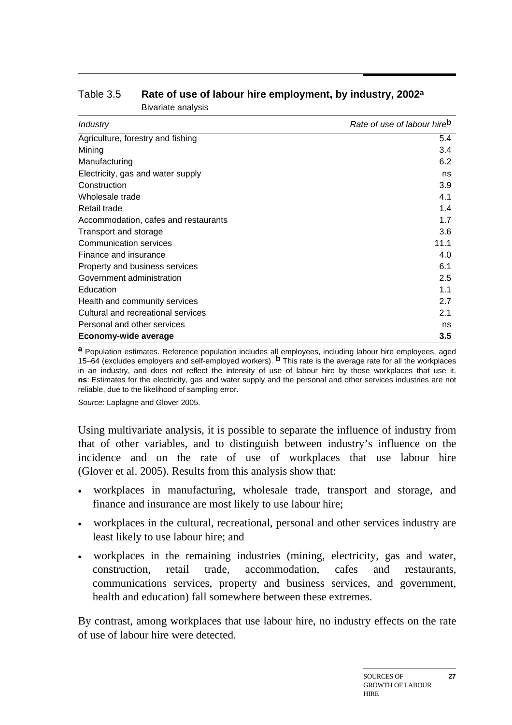| Industry                             | Rate of use of labour hire <sup>b</sup> |
|--------------------------------------|-----------------------------------------|
| Agriculture, forestry and fishing    | 5.4                                     |
| Mining                               | 3.4                                     |
| Manufacturing                        | 6.2                                     |
| Electricity, gas and water supply    | ns                                      |
| Construction                         | 3.9                                     |
| Wholesale trade                      | 4.1                                     |
| Retail trade                         | 1.4                                     |
| Accommodation, cafes and restaurants | 1.7                                     |
| Transport and storage                | 3.6                                     |
| Communication services               | 11.1                                    |
| Finance and insurance                | 4.0                                     |
| Property and business services       | 6.1                                     |
| Government administration            | 2.5                                     |
| Education                            | 1.1                                     |
| Health and community services        | 2.7                                     |
| Cultural and recreational services   | 2.1                                     |
| Personal and other services          | ns                                      |
| Economy-wide average                 | 3.5                                     |

#### Table 3.5 **Rate of use of labour hire employment, by industry, 2002a** Bivariate analysis

**a** Population estimates. Reference population includes all employees, including labour hire employees, aged 15–64 (excludes employers and self-employed workers). **b** This rate is the average rate for all the workplaces in an industry, and does not reflect the intensity of use of labour hire by those workplaces that use it. **ns**: Estimates for the electricity, gas and water supply and the personal and other services industries are not reliable, due to the likelihood of sampling error.

*Source*: Laplagne and Glover 2005.

Using multivariate analysis, it is possible to separate the influence of industry from that of other variables, and to distinguish between industry's influence on the incidence and on the rate of use of workplaces that use labour hire (Glover et al. 2005). Results from this analysis show that:

- workplaces in manufacturing, wholesale trade, transport and storage, and finance and insurance are most likely to use labour hire;
- workplaces in the cultural, recreational, personal and other services industry are least likely to use labour hire; and
- workplaces in the remaining industries (mining, electricity, gas and water, construction, retail trade, accommodation, cafes and restaurants, communications services, property and business services, and government, health and education) fall somewhere between these extremes.

By contrast, among workplaces that use labour hire, no industry effects on the rate of use of labour hire were detected.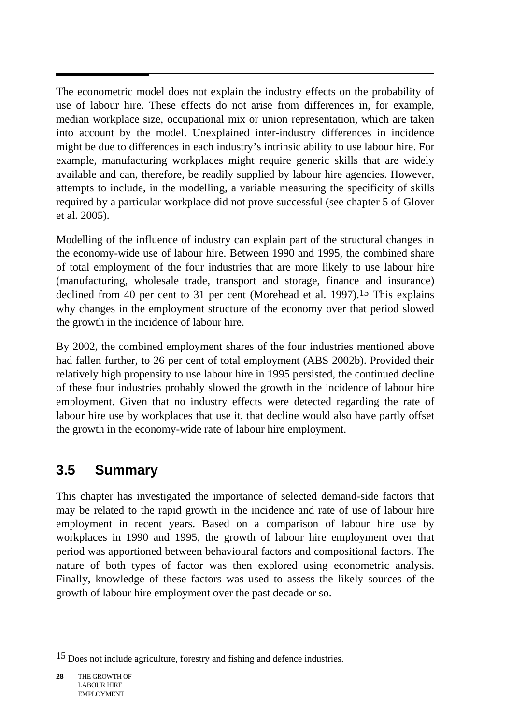$\overline{a}$ The econometric model does not explain the industry effects on the probability of use of labour hire. These effects do not arise from differences in, for example, median workplace size, occupational mix or union representation, which are taken into account by the model. Unexplained inter-industry differences in incidence might be due to differences in each industry's intrinsic ability to use labour hire. For example, manufacturing workplaces might require generic skills that are widely available and can, therefore, be readily supplied by labour hire agencies. However, attempts to include, in the modelling, a variable measuring the specificity of skills required by a particular workplace did not prove successful (see chapter 5 of Glover et al. 2005).

Modelling of the influence of industry can explain part of the structural changes in the economy-wide use of labour hire. Between 1990 and 1995, the combined share of total employment of the four industries that are more likely to use labour hire (manufacturing, wholesale trade, transport and storage, finance and insurance) declined from 40 per cent to 31 per cent (Morehead et al. 1997).<sup>15</sup> This explains why changes in the employment structure of the economy over that period slowed the growth in the incidence of labour hire.

By 2002, the combined employment shares of the four industries mentioned above had fallen further, to 26 per cent of total employment (ABS 2002b). Provided their relatively high propensity to use labour hire in 1995 persisted, the continued decline of these four industries probably slowed the growth in the incidence of labour hire employment. Given that no industry effects were detected regarding the rate of labour hire use by workplaces that use it, that decline would also have partly offset the growth in the economy-wide rate of labour hire employment.

### **3.5 Summary**

This chapter has investigated the importance of selected demand-side factors that may be related to the rapid growth in the incidence and rate of use of labour hire employment in recent years. Based on a comparison of labour hire use by workplaces in 1990 and 1995, the growth of labour hire employment over that period was apportioned between behavioural factors and compositional factors. The nature of both types of factor was then explored using econometric analysis. Finally, knowledge of these factors was used to assess the likely sources of the growth of labour hire employment over the past decade or so.

<sup>15</sup> Does not include agriculture, forestry and fishing and defence industries.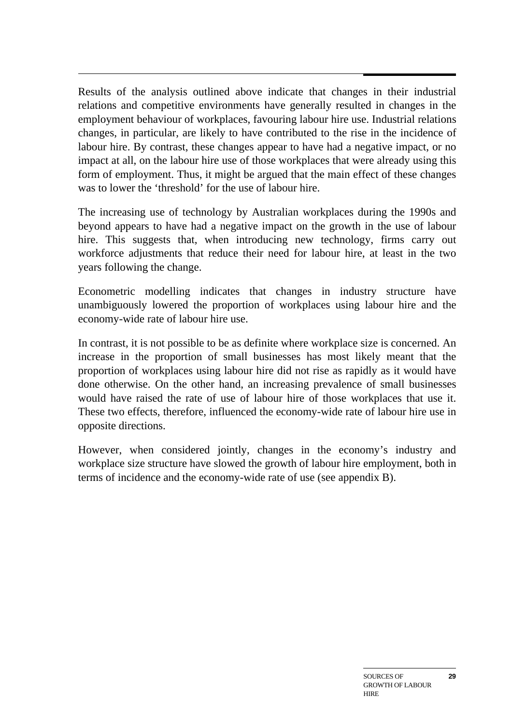$\overline{a}$ Results of the analysis outlined above indicate that changes in their industrial relations and competitive environments have generally resulted in changes in the employment behaviour of workplaces, favouring labour hire use. Industrial relations changes, in particular, are likely to have contributed to the rise in the incidence of labour hire. By contrast, these changes appear to have had a negative impact, or no impact at all, on the labour hire use of those workplaces that were already using this form of employment. Thus, it might be argued that the main effect of these changes was to lower the 'threshold' for the use of labour hire.

The increasing use of technology by Australian workplaces during the 1990s and beyond appears to have had a negative impact on the growth in the use of labour hire. This suggests that, when introducing new technology, firms carry out workforce adjustments that reduce their need for labour hire, at least in the two years following the change.

Econometric modelling indicates that changes in industry structure have unambiguously lowered the proportion of workplaces using labour hire and the economy-wide rate of labour hire use.

In contrast, it is not possible to be as definite where workplace size is concerned. An increase in the proportion of small businesses has most likely meant that the proportion of workplaces using labour hire did not rise as rapidly as it would have done otherwise. On the other hand, an increasing prevalence of small businesses would have raised the rate of use of labour hire of those workplaces that use it. These two effects, therefore, influenced the economy-wide rate of labour hire use in opposite directions.

However, when considered jointly, changes in the economy's industry and workplace size structure have slowed the growth of labour hire employment, both in terms of incidence and the economy-wide rate of use (see appendix B).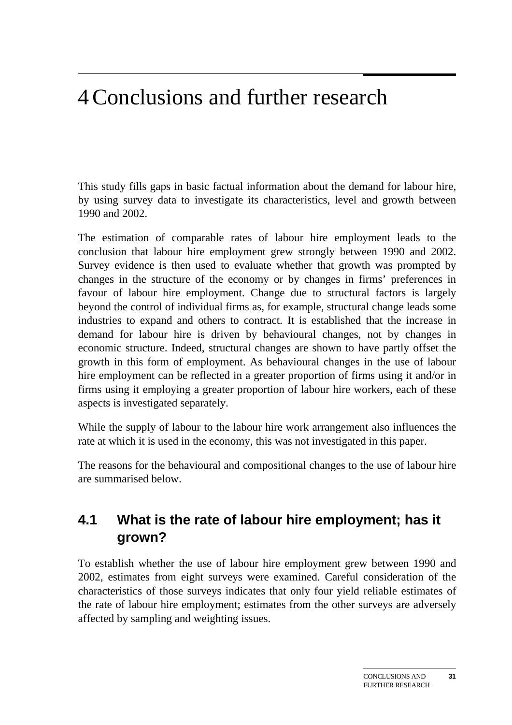## 4 Conclusions and further research

This study fills gaps in basic factual information about the demand for labour hire, by using survey data to investigate its characteristics, level and growth between 1990 and 2002.

The estimation of comparable rates of labour hire employment leads to the conclusion that labour hire employment grew strongly between 1990 and 2002. Survey evidence is then used to evaluate whether that growth was prompted by changes in the structure of the economy or by changes in firms' preferences in favour of labour hire employment. Change due to structural factors is largely beyond the control of individual firms as, for example, structural change leads some industries to expand and others to contract. It is established that the increase in demand for labour hire is driven by behavioural changes, not by changes in economic structure. Indeed, structural changes are shown to have partly offset the growth in this form of employment. As behavioural changes in the use of labour hire employment can be reflected in a greater proportion of firms using it and/or in firms using it employing a greater proportion of labour hire workers, each of these aspects is investigated separately.

While the supply of labour to the labour hire work arrangement also influences the rate at which it is used in the economy, this was not investigated in this paper.

The reasons for the behavioural and compositional changes to the use of labour hire are summarised below.

### **4.1 What is the rate of labour hire employment; has it grown?**

To establish whether the use of labour hire employment grew between 1990 and 2002, estimates from eight surveys were examined. Careful consideration of the characteristics of those surveys indicates that only four yield reliable estimates of the rate of labour hire employment; estimates from the other surveys are adversely affected by sampling and weighting issues.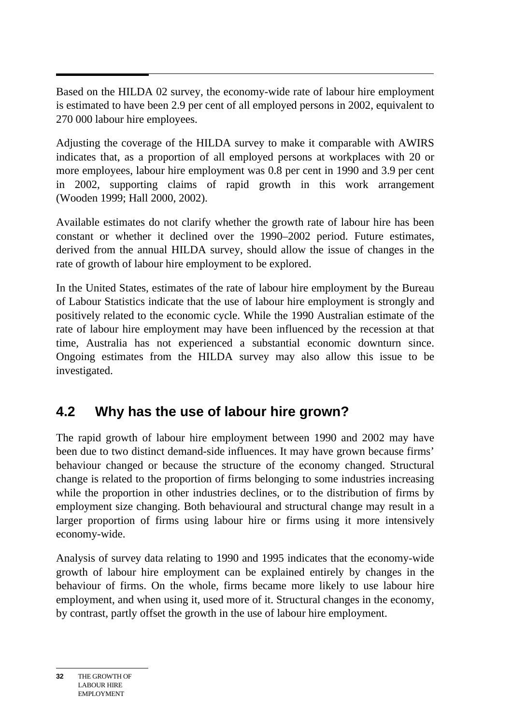$\overline{a}$ Based on the HILDA 02 survey, the economy-wide rate of labour hire employment is estimated to have been 2.9 per cent of all employed persons in 2002, equivalent to 270 000 labour hire employees.

Adjusting the coverage of the HILDA survey to make it comparable with AWIRS indicates that, as a proportion of all employed persons at workplaces with 20 or more employees, labour hire employment was 0.8 per cent in 1990 and 3.9 per cent in 2002, supporting claims of rapid growth in this work arrangement (Wooden 1999; Hall 2000, 2002).

Available estimates do not clarify whether the growth rate of labour hire has been constant or whether it declined over the 1990–2002 period. Future estimates, derived from the annual HILDA survey, should allow the issue of changes in the rate of growth of labour hire employment to be explored.

In the United States, estimates of the rate of labour hire employment by the Bureau of Labour Statistics indicate that the use of labour hire employment is strongly and positively related to the economic cycle. While the 1990 Australian estimate of the rate of labour hire employment may have been influenced by the recession at that time, Australia has not experienced a substantial economic downturn since. Ongoing estimates from the HILDA survey may also allow this issue to be investigated.

### **4.2 Why has the use of labour hire grown?**

The rapid growth of labour hire employment between 1990 and 2002 may have been due to two distinct demand-side influences. It may have grown because firms' behaviour changed or because the structure of the economy changed. Structural change is related to the proportion of firms belonging to some industries increasing while the proportion in other industries declines, or to the distribution of firms by employment size changing. Both behavioural and structural change may result in a larger proportion of firms using labour hire or firms using it more intensively economy-wide.

Analysis of survey data relating to 1990 and 1995 indicates that the economy-wide growth of labour hire employment can be explained entirely by changes in the behaviour of firms. On the whole, firms became more likely to use labour hire employment, and when using it, used more of it. Structural changes in the economy, by contrast, partly offset the growth in the use of labour hire employment.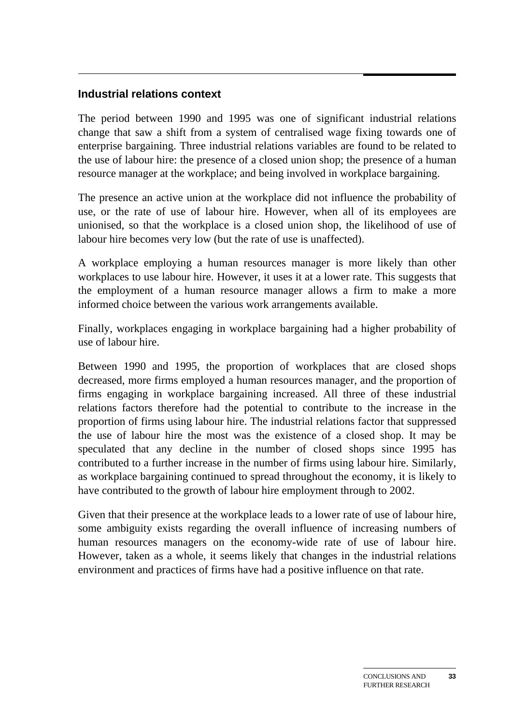#### **Industrial relations context**

The period between 1990 and 1995 was one of significant industrial relations change that saw a shift from a system of centralised wage fixing towards one of enterprise bargaining. Three industrial relations variables are found to be related to the use of labour hire: the presence of a closed union shop; the presence of a human resource manager at the workplace; and being involved in workplace bargaining.

The presence an active union at the workplace did not influence the probability of use, or the rate of use of labour hire. However, when all of its employees are unionised, so that the workplace is a closed union shop, the likelihood of use of labour hire becomes very low (but the rate of use is unaffected).

A workplace employing a human resources manager is more likely than other workplaces to use labour hire. However, it uses it at a lower rate. This suggests that the employment of a human resource manager allows a firm to make a more informed choice between the various work arrangements available.

Finally, workplaces engaging in workplace bargaining had a higher probability of use of labour hire.

Between 1990 and 1995, the proportion of workplaces that are closed shops decreased, more firms employed a human resources manager, and the proportion of firms engaging in workplace bargaining increased. All three of these industrial relations factors therefore had the potential to contribute to the increase in the proportion of firms using labour hire. The industrial relations factor that suppressed the use of labour hire the most was the existence of a closed shop. It may be speculated that any decline in the number of closed shops since 1995 has contributed to a further increase in the number of firms using labour hire. Similarly, as workplace bargaining continued to spread throughout the economy, it is likely to have contributed to the growth of labour hire employment through to 2002.

Given that their presence at the workplace leads to a lower rate of use of labour hire, some ambiguity exists regarding the overall influence of increasing numbers of human resources managers on the economy-wide rate of use of labour hire. However, taken as a whole, it seems likely that changes in the industrial relations environment and practices of firms have had a positive influence on that rate.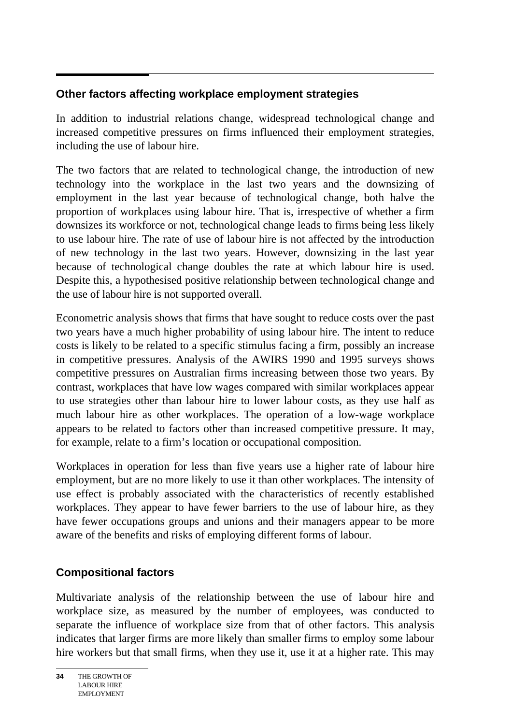#### **Other factors affecting workplace employment strategies**

In addition to industrial relations change, widespread technological change and increased competitive pressures on firms influenced their employment strategies, including the use of labour hire.

The two factors that are related to technological change, the introduction of new technology into the workplace in the last two years and the downsizing of employment in the last year because of technological change, both halve the proportion of workplaces using labour hire. That is, irrespective of whether a firm downsizes its workforce or not, technological change leads to firms being less likely to use labour hire. The rate of use of labour hire is not affected by the introduction of new technology in the last two years. However, downsizing in the last year because of technological change doubles the rate at which labour hire is used. Despite this, a hypothesised positive relationship between technological change and the use of labour hire is not supported overall.

Econometric analysis shows that firms that have sought to reduce costs over the past two years have a much higher probability of using labour hire. The intent to reduce costs is likely to be related to a specific stimulus facing a firm, possibly an increase in competitive pressures. Analysis of the AWIRS 1990 and 1995 surveys shows competitive pressures on Australian firms increasing between those two years. By contrast, workplaces that have low wages compared with similar workplaces appear to use strategies other than labour hire to lower labour costs, as they use half as much labour hire as other workplaces. The operation of a low-wage workplace appears to be related to factors other than increased competitive pressure. It may, for example, relate to a firm's location or occupational composition.

Workplaces in operation for less than five years use a higher rate of labour hire employment, but are no more likely to use it than other workplaces. The intensity of use effect is probably associated with the characteristics of recently established workplaces. They appear to have fewer barriers to the use of labour hire, as they have fewer occupations groups and unions and their managers appear to be more aware of the benefits and risks of employing different forms of labour.

#### **Compositional factors**

Multivariate analysis of the relationship between the use of labour hire and workplace size, as measured by the number of employees, was conducted to separate the influence of workplace size from that of other factors. This analysis indicates that larger firms are more likely than smaller firms to employ some labour hire workers but that small firms, when they use it, use it at a higher rate. This may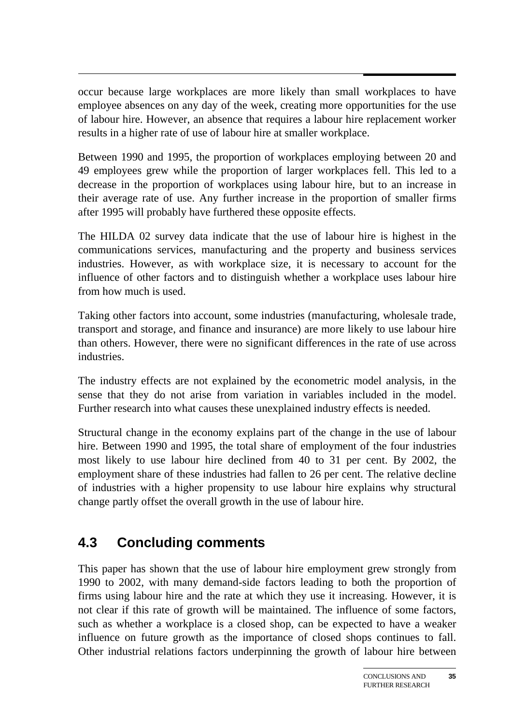occur because large workplaces are more likely than small workplaces to have employee absences on any day of the week, creating more opportunities for the use of labour hire. However, an absence that requires a labour hire replacement worker results in a higher rate of use of labour hire at smaller workplace.

Between 1990 and 1995, the proportion of workplaces employing between 20 and 49 employees grew while the proportion of larger workplaces fell. This led to a decrease in the proportion of workplaces using labour hire, but to an increase in their average rate of use. Any further increase in the proportion of smaller firms after 1995 will probably have furthered these opposite effects.

The HILDA 02 survey data indicate that the use of labour hire is highest in the communications services, manufacturing and the property and business services industries. However, as with workplace size, it is necessary to account for the influence of other factors and to distinguish whether a workplace uses labour hire from how much is used.

Taking other factors into account, some industries (manufacturing, wholesale trade, transport and storage, and finance and insurance) are more likely to use labour hire than others. However, there were no significant differences in the rate of use across industries.

The industry effects are not explained by the econometric model analysis, in the sense that they do not arise from variation in variables included in the model. Further research into what causes these unexplained industry effects is needed.

Structural change in the economy explains part of the change in the use of labour hire. Between 1990 and 1995, the total share of employment of the four industries most likely to use labour hire declined from 40 to 31 per cent. By 2002, the employment share of these industries had fallen to 26 per cent. The relative decline of industries with a higher propensity to use labour hire explains why structural change partly offset the overall growth in the use of labour hire.

### **4.3 Concluding comments**

This paper has shown that the use of labour hire employment grew strongly from 1990 to 2002, with many demand-side factors leading to both the proportion of firms using labour hire and the rate at which they use it increasing. However, it is not clear if this rate of growth will be maintained. The influence of some factors, such as whether a workplace is a closed shop, can be expected to have a weaker influence on future growth as the importance of closed shops continues to fall. Other industrial relations factors underpinning the growth of labour hire between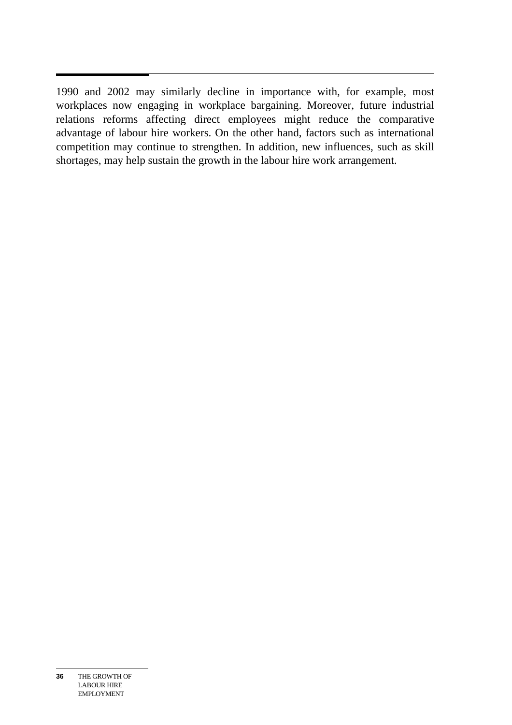$\overline{a}$ 1990 and 2002 may similarly decline in importance with, for example, most workplaces now engaging in workplace bargaining. Moreover, future industrial relations reforms affecting direct employees might reduce the comparative advantage of labour hire workers. On the other hand, factors such as international competition may continue to strengthen. In addition, new influences, such as skill shortages, may help sustain the growth in the labour hire work arrangement.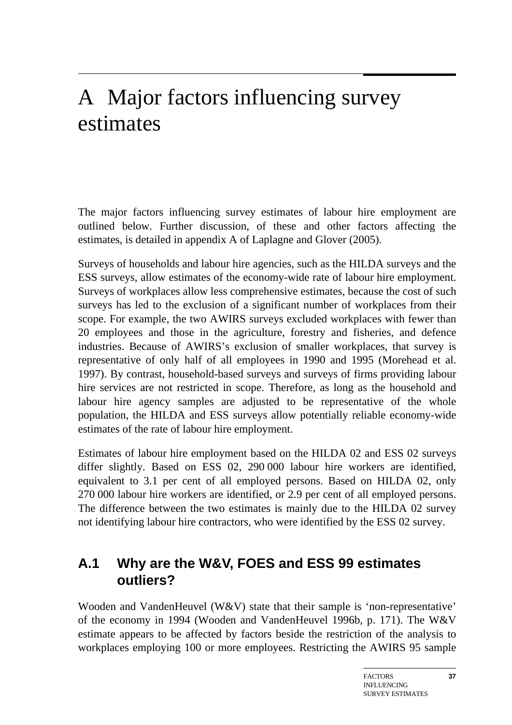## A Major factors influencing survey estimates

The major factors influencing survey estimates of labour hire employment are outlined below. Further discussion, of these and other factors affecting the estimates, is detailed in appendix A of Laplagne and Glover (2005).

Surveys of households and labour hire agencies, such as the HILDA surveys and the ESS surveys, allow estimates of the economy-wide rate of labour hire employment. Surveys of workplaces allow less comprehensive estimates, because the cost of such surveys has led to the exclusion of a significant number of workplaces from their scope. For example, the two AWIRS surveys excluded workplaces with fewer than 20 employees and those in the agriculture, forestry and fisheries, and defence industries. Because of AWIRS's exclusion of smaller workplaces, that survey is representative of only half of all employees in 1990 and 1995 (Morehead et al. 1997). By contrast, household-based surveys and surveys of firms providing labour hire services are not restricted in scope. Therefore, as long as the household and labour hire agency samples are adjusted to be representative of the whole population, the HILDA and ESS surveys allow potentially reliable economy-wide estimates of the rate of labour hire employment.

Estimates of labour hire employment based on the HILDA 02 and ESS 02 surveys differ slightly. Based on ESS 02, 290 000 labour hire workers are identified, equivalent to 3.1 per cent of all employed persons. Based on HILDA 02, only 270 000 labour hire workers are identified, or 2.9 per cent of all employed persons. The difference between the two estimates is mainly due to the HILDA 02 survey not identifying labour hire contractors, who were identified by the ESS 02 survey.

### **A.1 Why are the W&V, FOES and ESS 99 estimates outliers?**

Wooden and VandenHeuvel (W&V) state that their sample is 'non-representative' of the economy in 1994 (Wooden and VandenHeuvel 1996b, p. 171). The W&V estimate appears to be affected by factors beside the restriction of the analysis to workplaces employing 100 or more employees. Restricting the AWIRS 95 sample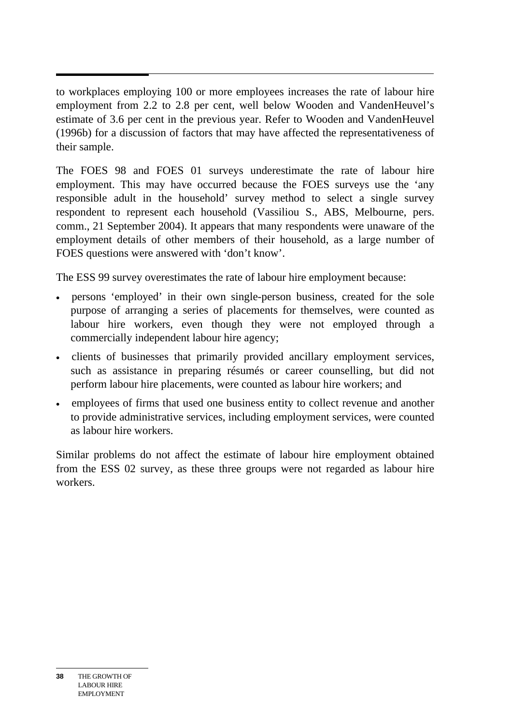to workplaces employing 100 or more employees increases the rate of labour hire employment from 2.2 to 2.8 per cent, well below Wooden and VandenHeuvel's estimate of 3.6 per cent in the previous year. Refer to Wooden and VandenHeuvel (1996b) for a discussion of factors that may have affected the representativeness of their sample.

The FOES 98 and FOES 01 surveys underestimate the rate of labour hire employment. This may have occurred because the FOES surveys use the 'any responsible adult in the household' survey method to select a single survey respondent to represent each household (Vassiliou S., ABS, Melbourne, pers. comm., 21 September 2004). It appears that many respondents were unaware of the employment details of other members of their household, as a large number of FOES questions were answered with 'don't know'.

The ESS 99 survey overestimates the rate of labour hire employment because:

- persons 'employed' in their own single-person business, created for the sole purpose of arranging a series of placements for themselves, were counted as labour hire workers, even though they were not employed through a commercially independent labour hire agency;
- clients of businesses that primarily provided ancillary employment services, such as assistance in preparing résumés or career counselling, but did not perform labour hire placements, were counted as labour hire workers; and
- employees of firms that used one business entity to collect revenue and another to provide administrative services, including employment services, were counted as labour hire workers.

Similar problems do not affect the estimate of labour hire employment obtained from the ESS 02 survey, as these three groups were not regarded as labour hire workers.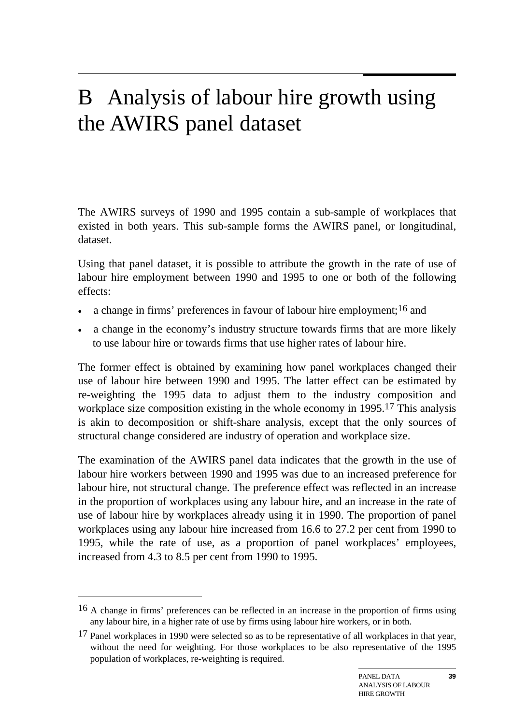## B Analysis of labour hire growth using the AWIRS panel dataset

The AWIRS surveys of 1990 and 1995 contain a sub-sample of workplaces that existed in both years. This sub-sample forms the AWIRS panel, or longitudinal, dataset.

Using that panel dataset, it is possible to attribute the growth in the rate of use of labour hire employment between 1990 and 1995 to one or both of the following effects:

- a change in firms' preferences in favour of labour hire employment;<sup>16</sup> and
- a change in the economy's industry structure towards firms that are more likely to use labour hire or towards firms that use higher rates of labour hire.

The former effect is obtained by examining how panel workplaces changed their use of labour hire between 1990 and 1995. The latter effect can be estimated by re-weighting the 1995 data to adjust them to the industry composition and workplace size composition existing in the whole economy in 1995.17 This analysis is akin to decomposition or shift-share analysis, except that the only sources of structural change considered are industry of operation and workplace size.

The examination of the AWIRS panel data indicates that the growth in the use of labour hire workers between 1990 and 1995 was due to an increased preference for labour hire, not structural change. The preference effect was reflected in an increase in the proportion of workplaces using any labour hire, and an increase in the rate of use of labour hire by workplaces already using it in 1990. The proportion of panel workplaces using any labour hire increased from 16.6 to 27.2 per cent from 1990 to 1995, while the rate of use, as a proportion of panel workplaces' employees, increased from 4.3 to 8.5 per cent from 1990 to 1995.

 $\overline{a}$ 

<sup>16</sup> A change in firms' preferences can be reflected in an increase in the proportion of firms using any labour hire, in a higher rate of use by firms using labour hire workers, or in both.

 $17$  Panel workplaces in 1990 were selected so as to be representative of all workplaces in that year, without the need for weighting. For those workplaces to be also representative of the 1995 population of workplaces, re-weighting is required.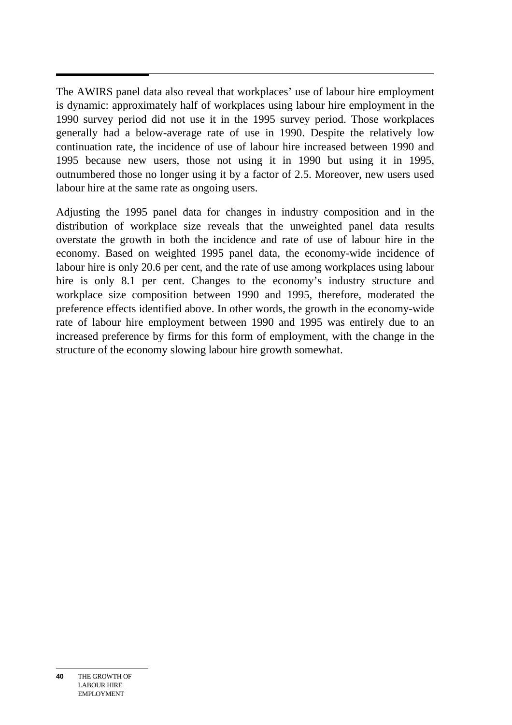$\overline{a}$ The AWIRS panel data also reveal that workplaces' use of labour hire employment is dynamic: approximately half of workplaces using labour hire employment in the 1990 survey period did not use it in the 1995 survey period. Those workplaces generally had a below-average rate of use in 1990. Despite the relatively low continuation rate, the incidence of use of labour hire increased between 1990 and 1995 because new users, those not using it in 1990 but using it in 1995, outnumbered those no longer using it by a factor of 2.5. Moreover, new users used labour hire at the same rate as ongoing users.

Adjusting the 1995 panel data for changes in industry composition and in the distribution of workplace size reveals that the unweighted panel data results overstate the growth in both the incidence and rate of use of labour hire in the economy. Based on weighted 1995 panel data, the economy-wide incidence of labour hire is only 20.6 per cent, and the rate of use among workplaces using labour hire is only 8.1 per cent. Changes to the economy's industry structure and workplace size composition between 1990 and 1995, therefore, moderated the preference effects identified above. In other words, the growth in the economy-wide rate of labour hire employment between 1990 and 1995 was entirely due to an increased preference by firms for this form of employment, with the change in the structure of the economy slowing labour hire growth somewhat.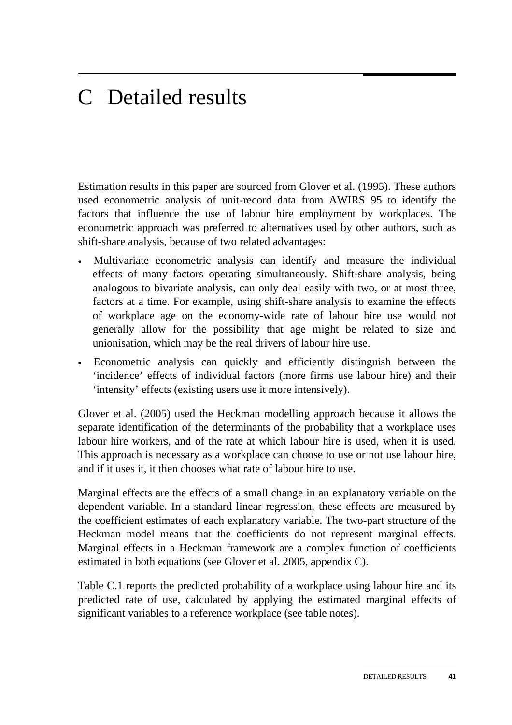## C Detailed results

Estimation results in this paper are sourced from Glover et al. (1995). These authors used econometric analysis of unit-record data from AWIRS 95 to identify the factors that influence the use of labour hire employment by workplaces. The econometric approach was preferred to alternatives used by other authors, such as shift-share analysis, because of two related advantages:

- Multivariate econometric analysis can identify and measure the individual effects of many factors operating simultaneously. Shift-share analysis, being analogous to bivariate analysis, can only deal easily with two, or at most three, factors at a time. For example, using shift-share analysis to examine the effects of workplace age on the economy-wide rate of labour hire use would not generally allow for the possibility that age might be related to size and unionisation, which may be the real drivers of labour hire use.
- Econometric analysis can quickly and efficiently distinguish between the 'incidence' effects of individual factors (more firms use labour hire) and their 'intensity' effects (existing users use it more intensively).

Glover et al. (2005) used the Heckman modelling approach because it allows the separate identification of the determinants of the probability that a workplace uses labour hire workers, and of the rate at which labour hire is used, when it is used. This approach is necessary as a workplace can choose to use or not use labour hire, and if it uses it, it then chooses what rate of labour hire to use.

Marginal effects are the effects of a small change in an explanatory variable on the dependent variable. In a standard linear regression, these effects are measured by the coefficient estimates of each explanatory variable. The two-part structure of the Heckman model means that the coefficients do not represent marginal effects. Marginal effects in a Heckman framework are a complex function of coefficients estimated in both equations (see Glover et al. 2005, appendix C).

Table C.1 reports the predicted probability of a workplace using labour hire and its predicted rate of use, calculated by applying the estimated marginal effects of significant variables to a reference workplace (see table notes).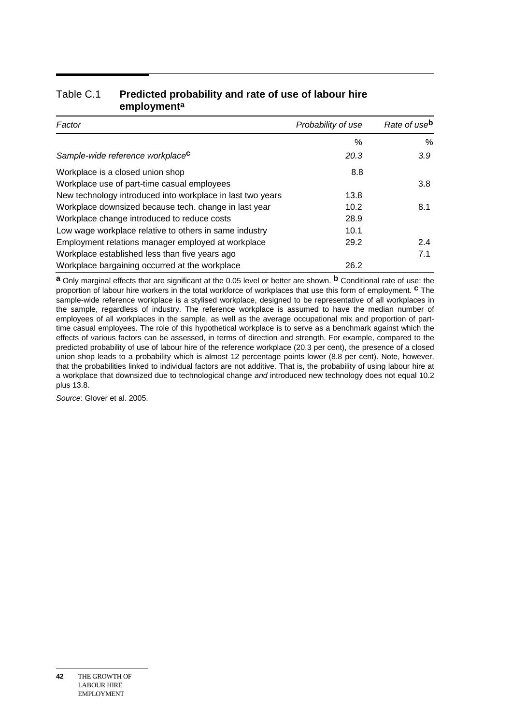| Factor                                                     | Probability of use | Rate of use <sup>b</sup> |
|------------------------------------------------------------|--------------------|--------------------------|
|                                                            | %                  | $\%$                     |
| Sample-wide reference workplace <sup>c</sup>               | 20.3               | 3.9 <sup>°</sup>         |
| Workplace is a closed union shop                           | 8.8                |                          |
| Workplace use of part-time casual employees                |                    | 3.8                      |
| New technology introduced into workplace in last two years | 13.8               |                          |
| Workplace downsized because tech. change in last year      | 10.2               | 8.1                      |
| Workplace change introduced to reduce costs                | 28.9               |                          |
| Low wage workplace relative to others in same industry     | 10.1               |                          |
| Employment relations manager employed at workplace         | 29.2               | 2.4                      |
| Workplace established less than five years ago             |                    | 7.1                      |
| Workplace bargaining occurred at the workplace             | 26.2               |                          |

#### Table C.1 **Predicted probability and rate of use of labour hire employmenta**

**a** Only marginal effects that are significant at the 0.05 level or better are shown. **b** Conditional rate of use: the proportion of labour hire workers in the total workforce of workplaces that use this form of employment. **c** The sample-wide reference workplace is a stylised workplace, designed to be representative of all workplaces in the sample, regardless of industry. The reference workplace is assumed to have the median number of employees of all workplaces in the sample, as well as the average occupational mix and proportion of parttime casual employees. The role of this hypothetical workplace is to serve as a benchmark against which the effects of various factors can be assessed, in terms of direction and strength. For example, compared to the predicted probability of use of labour hire of the reference workplace (20.3 per cent), the presence of a closed union shop leads to a probability which is almost 12 percentage points lower (8.8 per cent). Note, however, that the probabilities linked to individual factors are not additive. That is, the probability of using labour hire at a workplace that downsized due to technological change *and* introduced new technology does not equal 10.2 plus 13.8.

*Source*: Glover et al. 2005.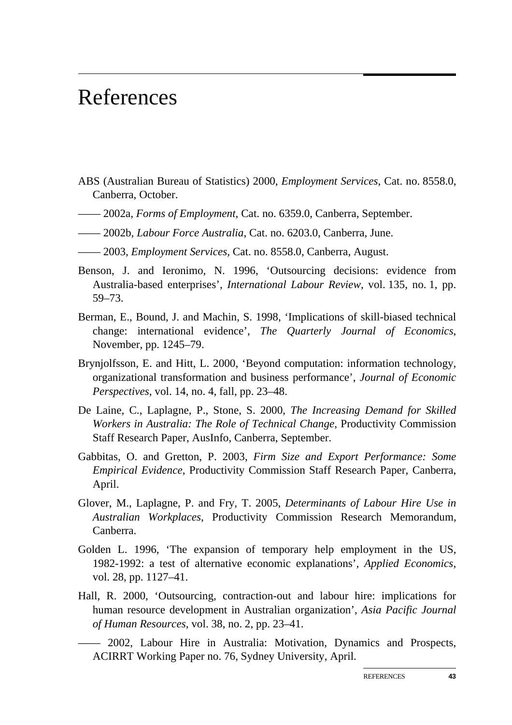## References

- ABS (Australian Bureau of Statistics) 2000, *Employment Services*, Cat. no. 8558.0, Canberra, October.
- —— 2002a, *Forms of Employment*, Cat. no. 6359.0, Canberra, September.
- —— 2002b, *Labour Force Australia*, Cat. no. 6203.0, Canberra, June.
- —— 2003, *Employment Services*, Cat. no. 8558.0, Canberra, August.
- Benson, J. and Ieronimo, N. 1996, 'Outsourcing decisions: evidence from Australia-based enterprises', *International Labour Review*, vol. 135, no. 1, pp. 59–73.
- Berman, E., Bound, J. and Machin, S. 1998, 'Implications of skill-biased technical change: international evidence', *The Quarterly Journal of Economics*, November, pp. 1245–79.
- Brynjolfsson, E. and Hitt, L. 2000, 'Beyond computation: information technology, organizational transformation and business performance', *Journal of Economic Perspectives*, vol. 14, no. 4, fall, pp. 23–48.
- De Laine, C., Laplagne, P., Stone, S. 2000, *The Increasing Demand for Skilled Workers in Australia: The Role of Technical Change*, Productivity Commission Staff Research Paper, AusInfo, Canberra, September.
- Gabbitas, O. and Gretton, P. 2003, *Firm Size and Export Performance: Some Empirical Evidence*, Productivity Commission Staff Research Paper, Canberra, April.
- Glover, M., Laplagne, P. and Fry, T. 2005, *Determinants of Labour Hire Use in Australian Workplaces*, Productivity Commission Research Memorandum, Canberra.
- Golden L. 1996, 'The expansion of temporary help employment in the US, 1982-1992: a test of alternative economic explanations', *Applied Economics*, vol. 28, pp. 1127–41.
- Hall, R. 2000, 'Outsourcing, contraction-out and labour hire: implications for human resource development in Australian organization', *Asia Pacific Journal of Human Resources*, vol. 38, no. 2, pp. 23–41.

—— 2002, Labour Hire in Australia: Motivation, Dynamics and Prospects, ACIRRT Working Paper no. 76, Sydney University, April.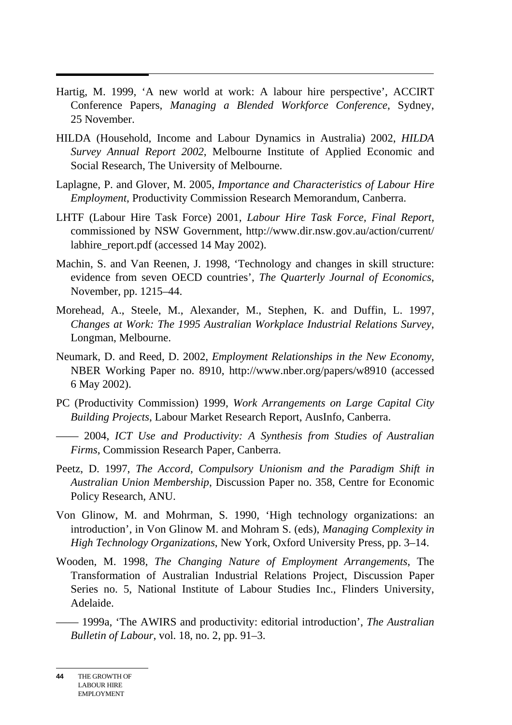- $\overline{a}$ Hartig, M. 1999, 'A new world at work: A labour hire perspective', ACCIRT Conference Papers, *Managing a Blended Workforce Conference*, Sydney, 25 November.
- HILDA (Household, Income and Labour Dynamics in Australia) 2002, *HILDA Survey Annual Report 2002*, Melbourne Institute of Applied Economic and Social Research, The University of Melbourne.
- Laplagne, P. and Glover, M. 2005, *Importance and Characteristics of Labour Hire Employment*, Productivity Commission Research Memorandum, Canberra.
- LHTF (Labour Hire Task Force) 2001, *Labour Hire Task Force, Final Report*, commissioned by NSW Government, http://www.dir.nsw.gov.au/action/current/ labhire\_report.pdf (accessed 14 May 2002).
- Machin, S. and Van Reenen, J. 1998, 'Technology and changes in skill structure: evidence from seven OECD countries', *The Quarterly Journal of Economics*, November, pp. 1215–44.
- Morehead, A., Steele, M., Alexander, M., Stephen, K. and Duffin, L. 1997, *Changes at Work: The 1995 Australian Workplace Industrial Relations Survey*, Longman, Melbourne.
- Neumark, D. and Reed, D. 2002, *Employment Relationships in the New Economy*, NBER Working Paper no. 8910, http://www.nber.org/papers/w8910 (accessed 6 May 2002).
- PC (Productivity Commission) 1999, *Work Arrangements on Large Capital City Building Projects*, Labour Market Research Report, AusInfo, Canberra.

—— 2004, *ICT Use and Productivity: A Synthesis from Studies of Australian Firms*, Commission Research Paper, Canberra.

- Peetz, D. 1997, *The Accord, Compulsory Unionism and the Paradigm Shift in Australian Union Membership*, Discussion Paper no. 358, Centre for Economic Policy Research, ANU.
- Von Glinow, M. and Mohrman, S. 1990, 'High technology organizations: an introduction', in Von Glinow M. and Mohram S. (eds), *Managing Complexity in High Technology Organizations*, New York, Oxford University Press, pp. 3–14.
- Wooden, M. 1998, *The Changing Nature of Employment Arrangements*, The Transformation of Australian Industrial Relations Project, Discussion Paper Series no. 5, National Institute of Labour Studies Inc., Flinders University, Adelaide.

—— 1999a, 'The AWIRS and productivity: editorial introduction', *The Australian Bulletin of Labour*, vol. 18, no. 2, pp. 91–3.